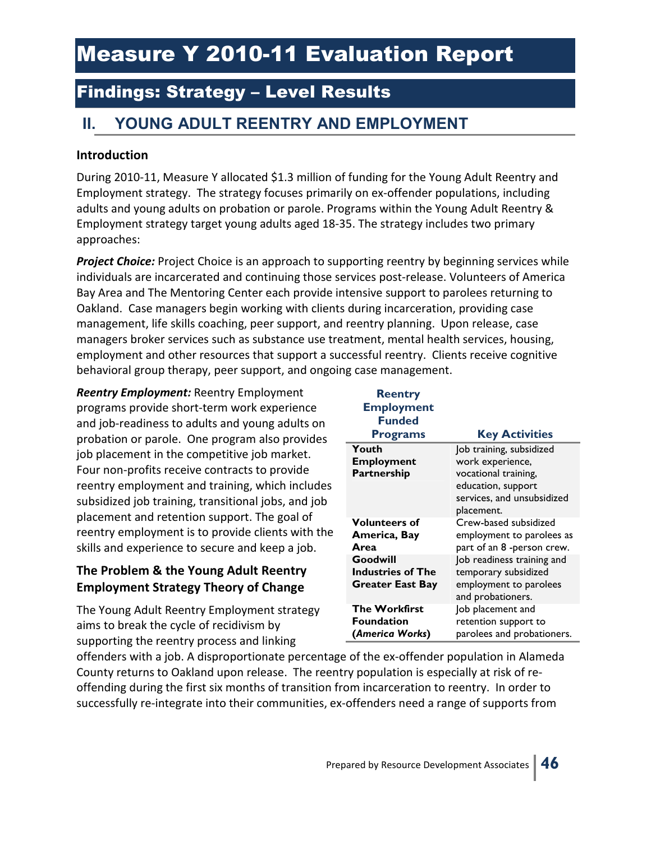### Findings: Strategy – Level Results

### **II. YOUNG ADULT REENTRY AND EMPLOYMENT**

#### **Introduction**

During 2010-11, Measure Y allocated \$1.3 million of funding for the Young Adult Reentry and Employment strategy. The strategy focuses primarily on ex-offender populations, including adults and young adults on probation or parole. Programs within the Young Adult Reentry & Employment strategy target young adults aged 18-35. The strategy includes two primary approaches:

**Project Choice:** Project Choice is an approach to supporting reentry by beginning services while individuals are incarcerated and continuing those services post-release. Volunteers of America Bay Area and The Mentoring Center each provide intensive support to parolees returning to Oakland. Case managers begin working with clients during incarceration, providing case management, life skills coaching, peer support, and reentry planning. Upon release, case managers broker services such as substance use treatment, mental health services, housing, employment and other resources that support a successful reentry. Clients receive cognitive behavioral group therapy, peer support, and ongoing case management.

*Reentry Employment:* Reentry Employment programs provide short-term work experience and job-readiness to adults and young adults on probation or parole. One program also provides job placement in the competitive job market. Four non-profits receive contracts to provide reentry employment and training, which includes subsidized job training, transitional jobs, and job placement and retention support. The goal of reentry employment is to provide clients with the skills and experience to secure and keep a job.

#### **The Problem & the Young Adult Reentry Employment Strategy Theory of Change**

The Young Adult Reentry Employment strategy aims to break the cycle of recidivism by supporting the reentry process and linking

| <b>Reentry</b><br><b>Employment</b><br><b>Funded</b> |                                                                                 |
|------------------------------------------------------|---------------------------------------------------------------------------------|
| <b>Programs</b>                                      | <b>Key Activities</b>                                                           |
| Youth                                                | Job training, subsidized                                                        |
| <b>Employment</b>                                    | work experience,                                                                |
| Partnership                                          | vocational training,<br>education, support<br>services, and unsubsidized        |
|                                                      | placement.                                                                      |
| <b>Volunteers of</b><br>America, Bay<br>Area         | Crew-based subsidized<br>employment to parolees as<br>part of an 8-person crew. |
| Goodwill                                             | Job readiness training and                                                      |
| <b>Industries of The</b>                             | temporary subsidized                                                            |
| <b>Greater East Bay</b>                              | employment to parolees<br>and probationers.                                     |
| <b>The Workfirst</b>                                 | Job placement and                                                               |
| <b>Foundation</b>                                    | retention support to                                                            |
| (America Works)                                      | parolees and probationers.                                                      |

offenders with a job. A disproportionate percentage of the ex-offender population in Alameda County returns to Oakland upon release. The reentry population is especially at risk of reoffending during the first six months of transition from incarceration to reentry. In order to successfully re-integrate into their communities, ex-offenders need a range of supports from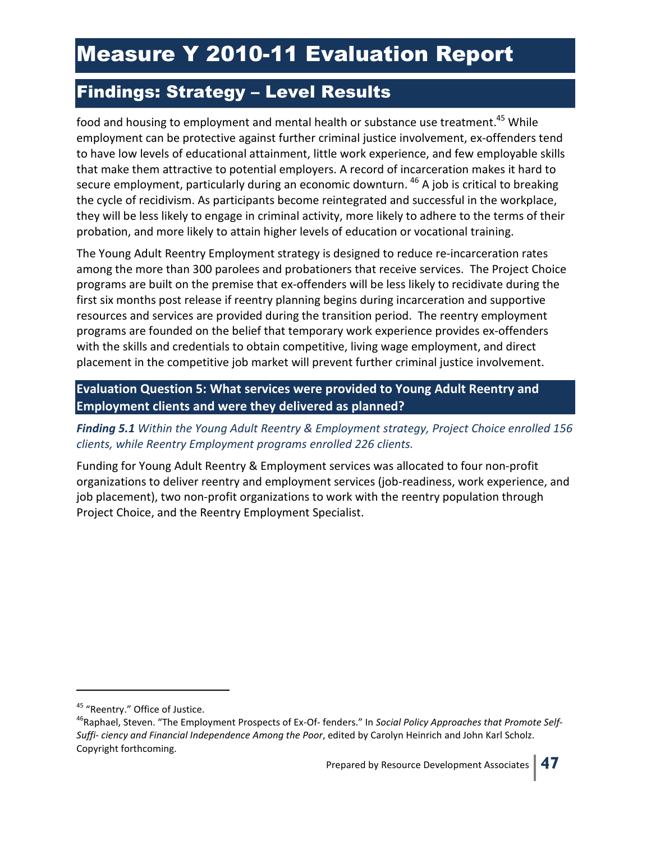### Findings: Strategy – Level Results

food and housing to employment and mental health or substance use treatment.<sup>45</sup> While employment can be protective against further criminal justice involvement, ex-offenders tend to have low levels of educational attainment, little work experience, and few employable skills that make them attractive to potential employers. A record of incarceration makes it hard to secure employment, particularly during an economic downturn. <sup>46</sup> A job is critical to breaking the cycle of recidivism. As participants become reintegrated and successful in the workplace, they will be less likely to engage in criminal activity, more likely to adhere to the terms of their probation, and more likely to attain higher levels of education or vocational training.

The Young Adult Reentry Employment strategy is designed to reduce re-incarceration rates among the more than 300 parolees and probationers that receive services. The Project Choice programs are built on the premise that ex-offenders will be less likely to recidivate during the first six months post release if reentry planning begins during incarceration and supportive resources and services are provided during the transition period. The reentry employment programs are founded on the belief that temporary work experience provides ex-offenders with the skills and credentials to obtain competitive, living wage employment, and direct placement in the competitive job market will prevent further criminal justice involvement.

**Evaluation Question 5: What services were provided to Young Adult Reentry and Employment clients and were they delivered as planned?** 

*Finding 5.1 Within the Young Adult Reentry & Employment strategy, Project Choice enrolled 156 clients, while Reentry Employment programs enrolled 226 clients.* 

Funding for Young Adult Reentry & Employment services was allocated to four non-profit organizations to deliver reentry and employment services (job-readiness, work experience, and job placement), two non-profit organizations to work with the reentry population through Project Choice, and the Reentry Employment Specialist.

<sup>&</sup>lt;sup>45</sup> "Reentry." Office of Justice.

<sup>46</sup>Raphael, Steven. "The Employment Prospects of Ex-Of- fenders." In *Social Policy Approaches that Promote Self-Suffi- ciency and Financial Independence Among the Poor*, edited by Carolyn Heinrich and John Karl Scholz. Copyright forthcoming.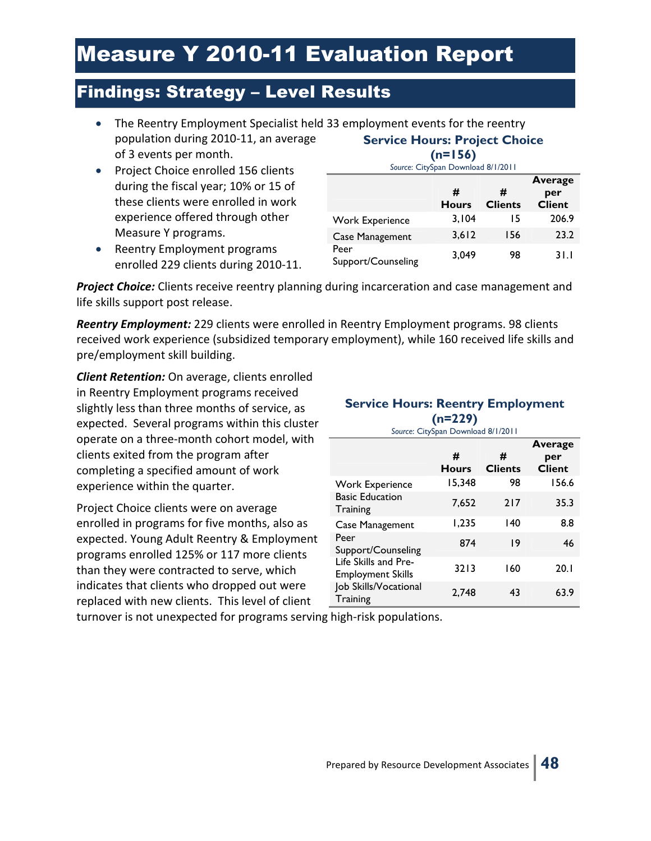### Findings: Strategy – Level Results

- The Reentry Employment Specialist held 33 employment events for the reentry population during 2010-11, an average of 3 events per month.
- Project Choice enrolled 156 clients during the fiscal year; 10% or 15 of these clients were enrolled in work experience offered through other Measure Y programs.
- Reentry Employment programs enrolled 229 clients during 2010-11.

### **Service Hours: Project Choice (n=156)**

| Source: CitySpan Download 8/1/2011 |                   |                     |                                 |  |  |  |
|------------------------------------|-------------------|---------------------|---------------------------------|--|--|--|
|                                    | #<br><b>Hours</b> | #<br><b>Clients</b> | Average<br>per<br><b>Client</b> |  |  |  |
| <b>Work Experience</b>             | 3.104             | 15                  | 206.9                           |  |  |  |
| Case Management                    | 3,612             | 156                 | 23.2                            |  |  |  |
| Peer<br>Support/Counseling         | 3.049             | 98                  | 31.1                            |  |  |  |

*Project Choice:* Clients receive reentry planning during incarceration and case management and life skills support post release.

*Reentry Employment:* 229 clients were enrolled in Reentry Employment programs. 98 clients received work experience (subsidized temporary employment), while 160 received life skills and pre/employment skill building.

*Client Retention:* On average, clients enrolled in Reentry Employment programs received slightly less than three months of service, as expected. Several programs within this cluster operate on a three-month cohort model, with clients exited from the program after completing a specified amount of work experience within the quarter.

Project Choice clients were on average enrolled in programs for five months, also as expected. Young Adult Reentry & Employment programs enrolled 125% or 117 more clients than they were contracted to serve, which indicates that clients who dropped out were replaced with new clients. This level of client

#### **Service Hours: Reentry Employment (n=229)**

| Source: CitySpan Download 8/1/2011               |                                          |     |       |  |  |
|--------------------------------------------------|------------------------------------------|-----|-------|--|--|
|                                                  | #<br>#<br><b>Clients</b><br><b>Hours</b> |     |       |  |  |
| <b>Work Experience</b>                           | 15,348                                   | 98  | 156.6 |  |  |
| <b>Basic Education</b><br>Training               | 7.652                                    | 217 | 35.3  |  |  |
| Case Management                                  | 1,235                                    | 140 | 8.8   |  |  |
| Peer<br>Support/Counseling                       | 874                                      | 19  | 46    |  |  |
| Life Skills and Pre-<br><b>Employment Skills</b> | 3213                                     | 160 | 20.1  |  |  |
| Job Skills/Vocational<br>Training                | 2.748                                    | 43  | 63.9  |  |  |

turnover is not unexpected for programs serving high-risk populations.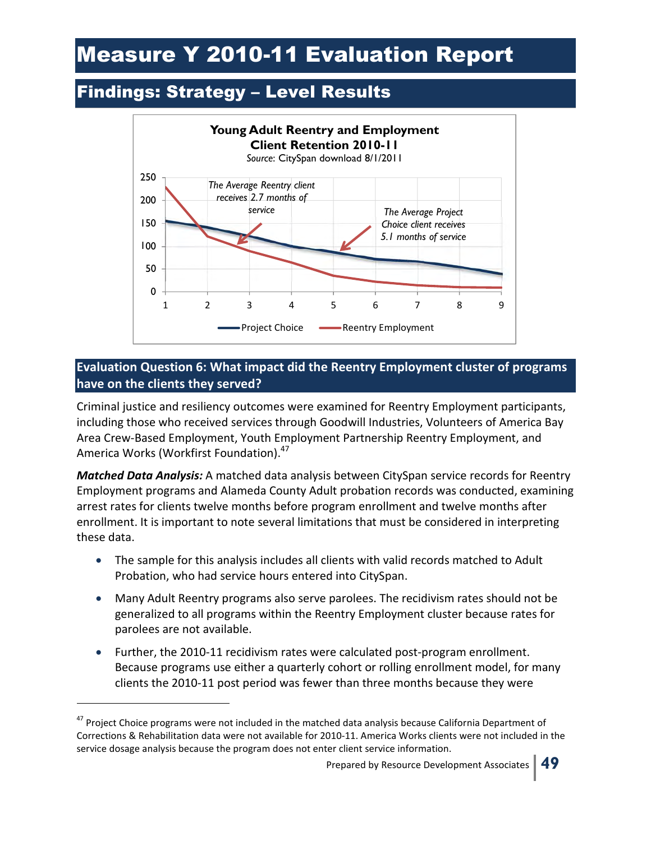### Findings: Strategy – Level Results



#### **Evaluation Question 6: What impact did the Reentry Employment cluster of programs have on the clients they served?**

Criminal justice and resiliency outcomes were examined for Reentry Employment participants, including those who received services through Goodwill Industries, Volunteers of America Bay Area Crew-Based Employment, Youth Employment Partnership Reentry Employment, and America Works (Workfirst Foundation).<sup>47</sup>

*Matched Data Analysis:* A matched data analysis between CitySpan service records for Reentry Employment programs and Alameda County Adult probation records was conducted, examining arrest rates for clients twelve months before program enrollment and twelve months after enrollment. It is important to note several limitations that must be considered in interpreting these data.

- The sample for this analysis includes all clients with valid records matched to Adult Probation, who had service hours entered into CitySpan.
- Many Adult Reentry programs also serve parolees. The recidivism rates should not be generalized to all programs within the Reentry Employment cluster because rates for parolees are not available.
- Further, the 2010-11 recidivism rates were calculated post-program enrollment. Because programs use either a quarterly cohort or rolling enrollment model, for many clients the 2010-11 post period was fewer than three months because they were

<sup>&</sup>lt;sup>47</sup> Project Choice programs were not included in the matched data analysis because California Department of Corrections & Rehabilitation data were not available for 2010-11. America Works clients were not included in the service dosage analysis because the program does not enter client service information.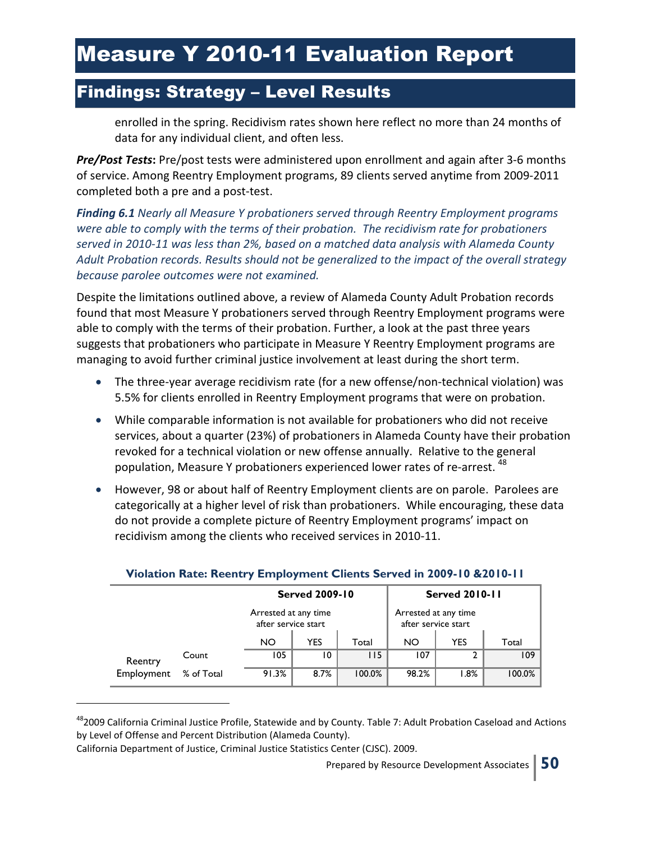### Findings: Strategy – Level Results

enrolled in the spring. Recidivism rates shown here reflect no more than 24 months of data for any individual client, and often less.

*Pre/Post Tests***:** Pre/post tests were administered upon enrollment and again after 3-6 months of service. Among Reentry Employment programs, 89 clients served anytime from 2009-2011 completed both a pre and a post-test.

*Finding 6.1 Nearly all Measure Y probationers served through Reentry Employment programs were able to comply with the terms of their probation. The recidivism rate for probationers served in 2010-11 was less than 2%, based on a matched data analysis with Alameda County Adult Probation records. Results should not be generalized to the impact of the overall strategy because parolee outcomes were not examined.* 

Despite the limitations outlined above, a review of Alameda County Adult Probation records found that most Measure Y probationers served through Reentry Employment programs were able to comply with the terms of their probation. Further, a look at the past three years suggests that probationers who participate in Measure Y Reentry Employment programs are managing to avoid further criminal justice involvement at least during the short term.

- The three-year average recidivism rate (for a new offense/non-technical violation) was 5.5% for clients enrolled in Reentry Employment programs that were on probation.
- While comparable information is not available for probationers who did not receive services, about a quarter (23%) of probationers in Alameda County have their probation revoked for a technical violation or new offense annually. Relative to the general population, Measure Y probationers experienced lower rates of re-arrest.<sup>48</sup>
- However, 98 or about half of Reentry Employment clients are on parole. Parolees are categorically at a higher level of risk than probationers. While encouraging, these data do not provide a complete picture of Reentry Employment programs' impact on recidivism among the clients who received services in 2010-11.

|            |            |                                                                                 | <b>Served 2009-10</b> |        |                      | <b>Served 2010-11</b> |        |
|------------|------------|---------------------------------------------------------------------------------|-----------------------|--------|----------------------|-----------------------|--------|
|            |            | Arrested at any time<br>after service start<br><b>YES</b><br><b>NO</b><br>Total |                       |        | Arrested at any time | after service start   |        |
|            |            |                                                                                 |                       |        | <b>NO</b>            | YES                   | Total  |
| Reentry    | Count      | 105                                                                             | 0                     | 115    | 107                  |                       | 109    |
| Employment | % of Total | 91.3%                                                                           | 8.7%                  | 100.0% | 98.2%                | 1.8%                  | 100.0% |

#### **Violation Rate: Reentry Employment Clients Served in 2009-10 &2010-11**

<sup>&</sup>lt;sup>48</sup>2009 California Criminal Justice Profile, Statewide and by County. Table 7: Adult Probation Caseload and Actions by Level of Offense and Percent Distribution (Alameda County).

California Department of Justice, Criminal Justice Statistics Center (CJSC). 2009.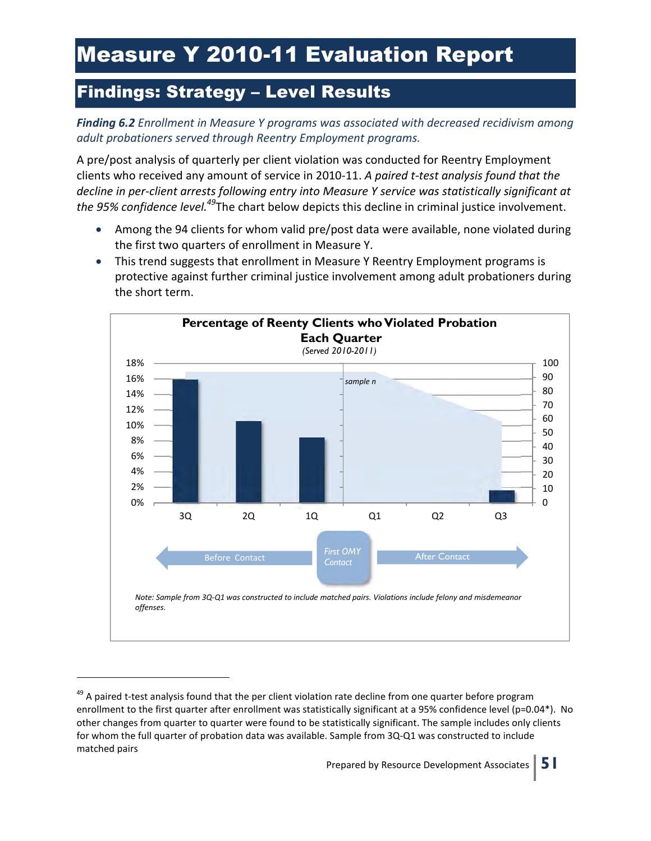### Findings: Strategy – Level Results

#### *Finding 6.2 Enrollment in Measure Y programs was associated with decreased recidivism among adult probationers served through Reentry Employment programs.*

A pre/post analysis of quarterly per client violation was conducted for Reentry Employment clients who received any amount of service in 2010-11. *A paired t-test analysis found that the decline in per-client arrests following entry into Measure Y service was statistically significant at the 95% confidence level.<sup>49</sup>*The chart below depicts this decline in criminal justice involvement.

- Among the 94 clients for whom valid pre/post data were available, none violated during the first two quarters of enrollment in Measure Y.
- This trend suggests that enrollment in Measure Y Reentry Employment programs is protective against further criminal justice involvement among adult probationers during the short term.



<sup>&</sup>lt;sup>49</sup> A paired t-test analysis found that the per client violation rate decline from one quarter before program enrollment to the first quarter after enrollment was statistically significant at a 95% confidence level (p=0.04\*). No other changes from quarter to quarter were found to be statistically significant. The sample includes only clients for whom the full quarter of probation data was available. Sample from 3Q-Q1 was constructed to include matched pairs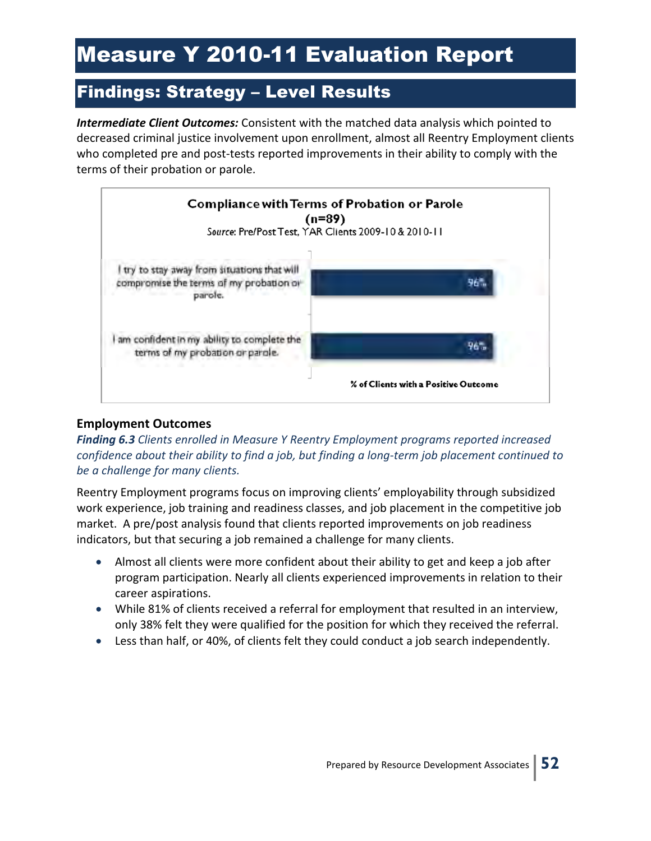### Findings: Strategy – Level Results

*Intermediate Client Outcomes:* Consistent with the matched data analysis which pointed to decreased criminal justice involvement upon enrollment, almost all Reentry Employment clients who completed pre and post-tests reported improvements in their ability to comply with the terms of their probation or parole.



#### **Employment Outcomes**

*Finding 6.3 Clients enrolled in Measure Y Reentry Employment programs reported increased confidence about their ability to find a job, but finding a long-term job placement continued to be a challenge for many clients.*

Reentry Employment programs focus on improving clients' employability through subsidized work experience, job training and readiness classes, and job placement in the competitive job market. A pre/post analysis found that clients reported improvements on job readiness indicators, but that securing a job remained a challenge for many clients.

- Almost all clients were more confident about their ability to get and keep a job after program participation. Nearly all clients experienced improvements in relation to their career aspirations.
- While 81% of clients received a referral for employment that resulted in an interview, only 38% felt they were qualified for the position for which they received the referral.
- Less than half, or 40%, of clients felt they could conduct a job search independently.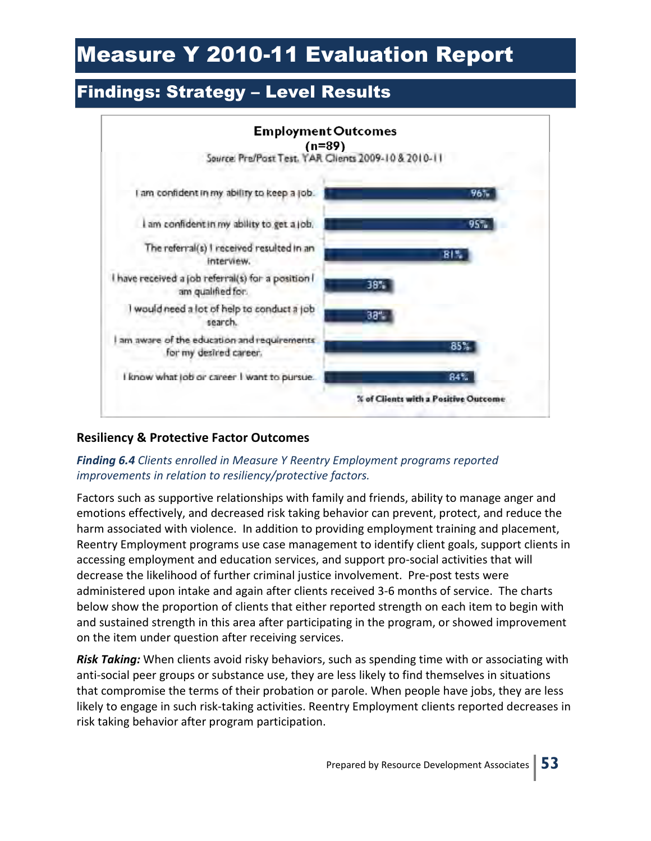### Findings: Strategy – Level Results



#### **Resiliency & Protective Factor Outcomes**

#### *Finding 6.4 Clients enrolled in Measure Y Reentry Employment programs reported improvements in relation to resiliency/protective factors.*

Factors such as supportive relationships with family and friends, ability to manage anger and emotions effectively, and decreased risk taking behavior can prevent, protect, and reduce the harm associated with violence. In addition to providing employment training and placement, Reentry Employment programs use case management to identify client goals, support clients in accessing employment and education services, and support pro-social activities that will decrease the likelihood of further criminal justice involvement. Pre-post tests were administered upon intake and again after clients received 3-6 months of service. The charts below show the proportion of clients that either reported strength on each item to begin with and sustained strength in this area after participating in the program, or showed improvement on the item under question after receiving services.

*Risk Taking:* When clients avoid risky behaviors, such as spending time with or associating with anti-social peer groups or substance use, they are less likely to find themselves in situations that compromise the terms of their probation or parole. When people have jobs, they are less likely to engage in such risk-taking activities. Reentry Employment clients reported decreases in risk taking behavior after program participation.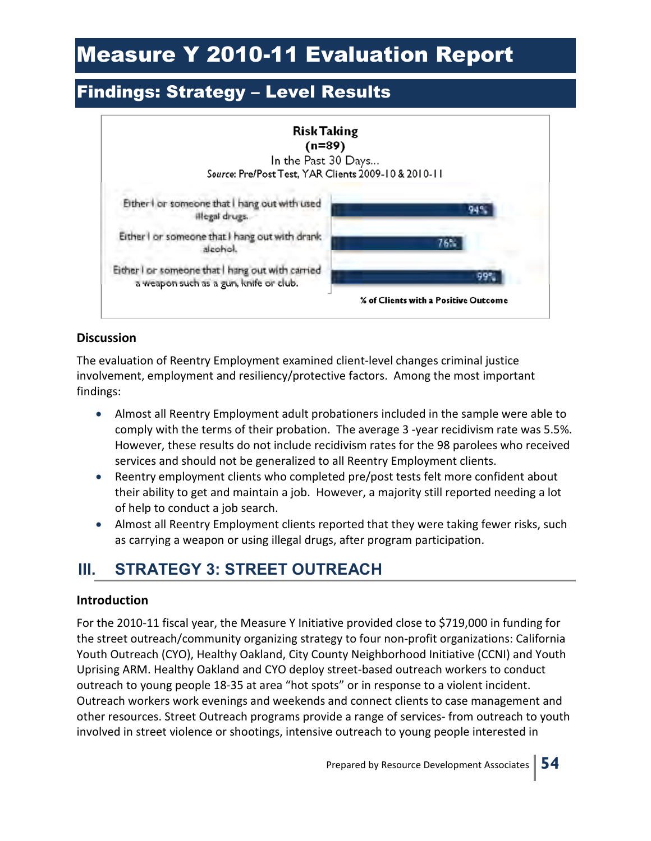### Findings: Strategy – Level Results



#### **Discussion**

The evaluation of Reentry Employment examined client-level changes criminal justice involvement, employment and resiliency/protective factors. Among the most important findings:

- Almost all Reentry Employment adult probationers included in the sample were able to comply with the terms of their probation. The average 3 -year recidivism rate was 5.5%. However, these results do not include recidivism rates for the 98 parolees who received services and should not be generalized to all Reentry Employment clients.
- Reentry employment clients who completed pre/post tests felt more confident about their ability to get and maintain a job. However, a majority still reported needing a lot of help to conduct a job search.
- Almost all Reentry Employment clients reported that they were taking fewer risks, such as carrying a weapon or using illegal drugs, after program participation.

### **III. STRATEGY 3: STREET OUTREACH**

#### **Introduction**

For the 2010-11 fiscal year, the Measure Y Initiative provided close to \$719,000 in funding for the street outreach/community organizing strategy to four non-profit organizations: California Youth Outreach (CYO), Healthy Oakland, City County Neighborhood Initiative (CCNI) and Youth Uprising ARM. Healthy Oakland and CYO deploy street-based outreach workers to conduct outreach to young people 18-35 at area "hot spots" or in response to a violent incident. Outreach workers work evenings and weekends and connect clients to case management and other resources. Street Outreach programs provide a range of services- from outreach to youth involved in street violence or shootings, intensive outreach to young people interested in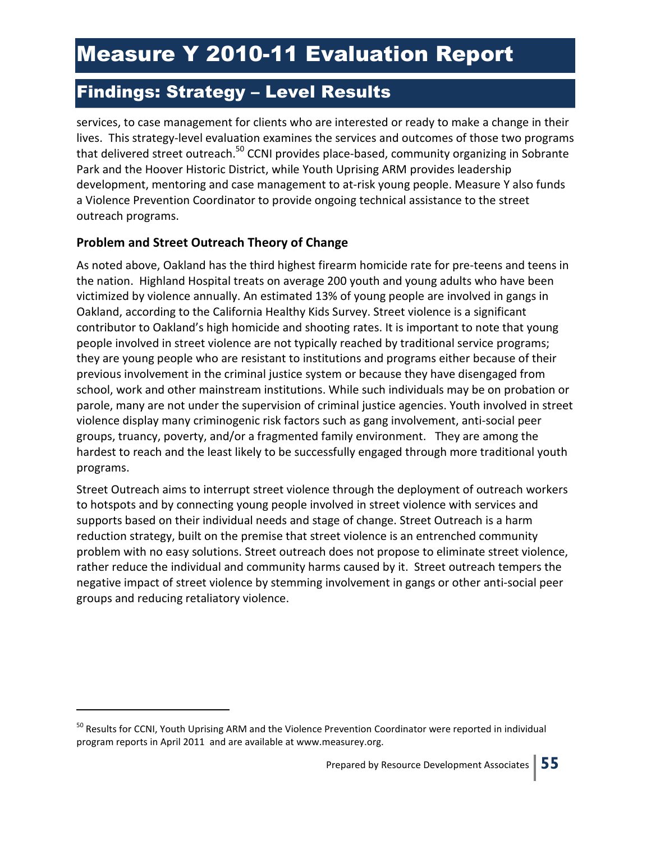### Findings: Strategy – Level Results

services, to case management for clients who are interested or ready to make a change in their lives. This strategy-level evaluation examines the services and outcomes of those two programs that delivered street outreach.<sup>50</sup> CCNI provides place-based, community organizing in Sobrante Park and the Hoover Historic District, while Youth Uprising ARM provides leadership development, mentoring and case management to at-risk young people. Measure Y also funds a Violence Prevention Coordinator to provide ongoing technical assistance to the street outreach programs.

#### **Problem and Street Outreach Theory of Change**

 $\overline{a}$ 

As noted above, Oakland has the third highest firearm homicide rate for pre-teens and teens in the nation. Highland Hospital treats on average 200 youth and young adults who have been victimized by violence annually. An estimated 13% of young people are involved in gangs in Oakland, according to the California Healthy Kids Survey. Street violence is a significant contributor to Oakland's high homicide and shooting rates. It is important to note that young people involved in street violence are not typically reached by traditional service programs; they are young people who are resistant to institutions and programs either because of their previous involvement in the criminal justice system or because they have disengaged from school, work and other mainstream institutions. While such individuals may be on probation or parole, many are not under the supervision of criminal justice agencies. Youth involved in street violence display many criminogenic risk factors such as gang involvement, anti-social peer groups, truancy, poverty, and/or a fragmented family environment. They are among the hardest to reach and the least likely to be successfully engaged through more traditional youth programs.

Street Outreach aims to interrupt street violence through the deployment of outreach workers to hotspots and by connecting young people involved in street violence with services and supports based on their individual needs and stage of change. Street Outreach is a harm reduction strategy, built on the premise that street violence is an entrenched community problem with no easy solutions. Street outreach does not propose to eliminate street violence, rather reduce the individual and community harms caused by it. Street outreach tempers the negative impact of street violence by stemming involvement in gangs or other anti-social peer groups and reducing retaliatory violence.

<sup>&</sup>lt;sup>50</sup> Results for CCNI, Youth Uprising ARM and the Violence Prevention Coordinator were reported in individual program reports in April 2011 and are available at www.measurey.org.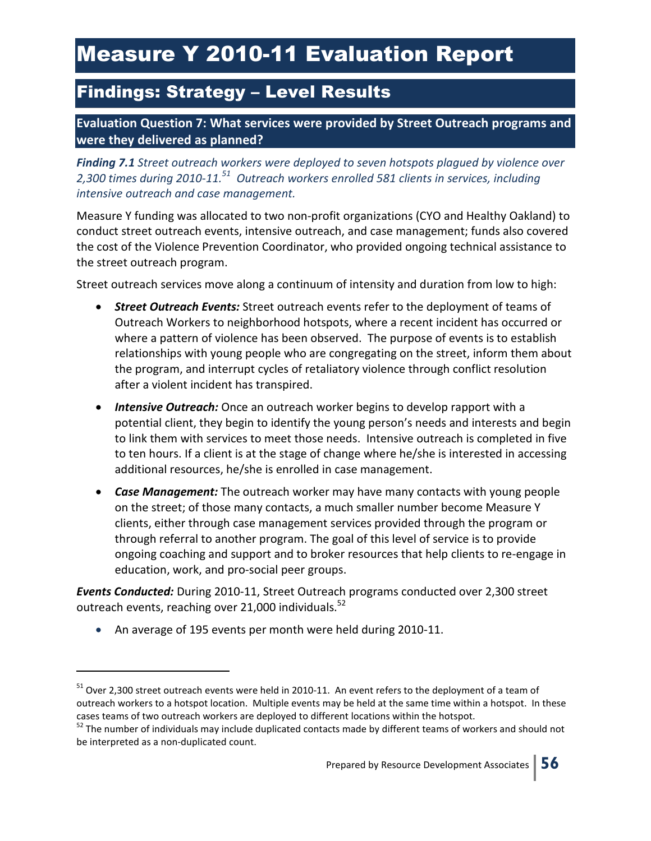### Findings: Strategy – Level Results

**Evaluation Question 7: What services were provided by Street Outreach programs and were they delivered as planned?** 

*Finding 7.1 Street outreach workers were deployed to seven hotspots plagued by violence over 2,300 times during 2010-11.<sup>51</sup> Outreach workers enrolled 581 clients in services, including intensive outreach and case management.* 

Measure Y funding was allocated to two non-profit organizations (CYO and Healthy Oakland) to conduct street outreach events, intensive outreach, and case management; funds also covered the cost of the Violence Prevention Coordinator, who provided ongoing technical assistance to the street outreach program.

Street outreach services move along a continuum of intensity and duration from low to high:

- *Street Outreach Events:* Street outreach events refer to the deployment of teams of Outreach Workers to neighborhood hotspots, where a recent incident has occurred or where a pattern of violence has been observed. The purpose of events is to establish relationships with young people who are congregating on the street, inform them about the program, and interrupt cycles of retaliatory violence through conflict resolution after a violent incident has transpired.
- *Intensive Outreach:* Once an outreach worker begins to develop rapport with a potential client, they begin to identify the young person's needs and interests and begin to link them with services to meet those needs. Intensive outreach is completed in five to ten hours. If a client is at the stage of change where he/she is interested in accessing additional resources, he/she is enrolled in case management.
- *Case Management:* The outreach worker may have many contacts with young people on the street; of those many contacts, a much smaller number become Measure Y clients, either through case management services provided through the program or through referral to another program. The goal of this level of service is to provide ongoing coaching and support and to broker resources that help clients to re-engage in education, work, and pro-social peer groups.

*Events Conducted:* During 2010-11, Street Outreach programs conducted over 2,300 street outreach events, reaching over 21,000 individuals.<sup>52</sup>

• An average of 195 events per month were held during 2010-11.

<sup>&</sup>lt;sup>51</sup> Over 2,300 street outreach events were held in 2010-11. An event refers to the deployment of a team of outreach workers to a hotspot location. Multiple events may be held at the same time within a hotspot. In these cases teams of two outreach workers are deployed to different locations within the hotspot.

<sup>&</sup>lt;sup>52</sup> The number of individuals may include duplicated contacts made by different teams of workers and should not be interpreted as a non-duplicated count.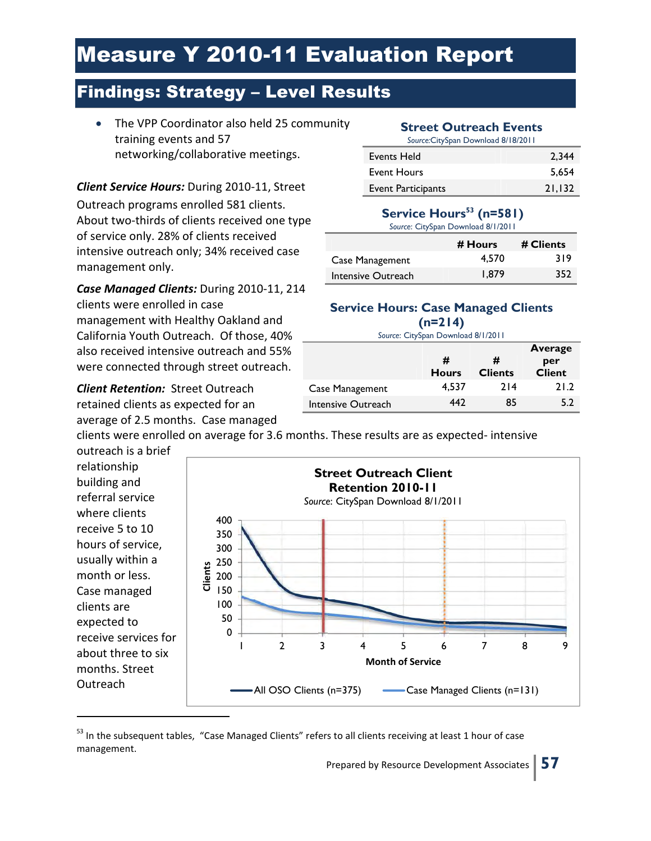### Findings: Strategy – Level Results

• The VPP Coordinator also held 25 community training events and 57 networking/collaborative meetings.

#### *Client Service Hours:* During 2010-11, Street

Outreach programs enrolled 581 clients. About two-thirds of clients received one type of service only. 28% of clients received intensive outreach only; 34% received case management only.

*Case Managed Clients:* During 2010-11, 214 clients were enrolled in case management with Healthy Oakland and California Youth Outreach. Of those, 40% also received intensive outreach and 55% were connected through street outreach.

*Client Retention:* Street Outreach retained clients as expected for an average of 2.5 months. Case managed **Street Outreach Events**

|--|

| Events Held        | 2.344  |
|--------------------|--------|
| Event Hours        | 5.654  |
| Event Participants | 21,132 |

#### **Service Hours<sup>53</sup> (n=581)**

*Source*: CitySpan Download 8/1/2011

|                    | # Hours | # Clients |
|--------------------|---------|-----------|
| Case Management    | 4.570   | 319       |
| Intensive Outreach | 1.879   | 352       |

#### **Service Hours: Case Managed Clients (n=214)**

| Source: CitySpan Download 8/1/2011 |                   |                     |                                        |  |  |  |
|------------------------------------|-------------------|---------------------|----------------------------------------|--|--|--|
|                                    | #<br><b>Hours</b> | #<br><b>Clients</b> | <b>Average</b><br>per<br><b>Client</b> |  |  |  |
| Case Management                    | 4.537             | 214                 | 21.2                                   |  |  |  |
| Intensive Outreach                 | 442               | 85                  | 5.2                                    |  |  |  |

clients were enrolled on average for 3.6 months. These results are as expected- intensive outreach is a brief

relationship building and referral service where clients receive 5 to 10 hours of service, usually within a month or less. Case managed clients are expected to receive services for about three to six months. Street Outreach



<sup>&</sup>lt;sup>53</sup> In the subsequent tables, "Case Managed Clients" refers to all clients receiving at least 1 hour of case management.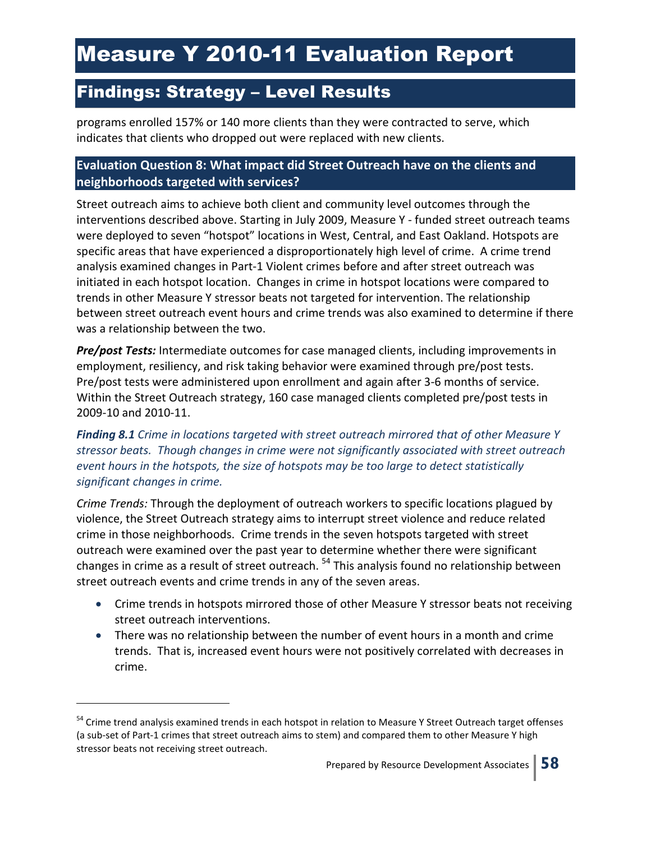### Findings: Strategy – Level Results

programs enrolled 157% or 140 more clients than they were contracted to serve, which indicates that clients who dropped out were replaced with new clients.

#### **Evaluation Question 8: What impact did Street Outreach have on the clients and neighborhoods targeted with services?**

Street outreach aims to achieve both client and community level outcomes through the interventions described above. Starting in July 2009, Measure Y - funded street outreach teams were deployed to seven "hotspot" locations in West, Central, and East Oakland. Hotspots are specific areas that have experienced a disproportionately high level of crime. A crime trend analysis examined changes in Part-1 Violent crimes before and after street outreach was initiated in each hotspot location. Changes in crime in hotspot locations were compared to trends in other Measure Y stressor beats not targeted for intervention. The relationship between street outreach event hours and crime trends was also examined to determine if there was a relationship between the two.

*Pre/post Tests:* Intermediate outcomes for case managed clients, including improvements in employment, resiliency, and risk taking behavior were examined through pre/post tests. Pre/post tests were administered upon enrollment and again after 3-6 months of service. Within the Street Outreach strategy, 160 case managed clients completed pre/post tests in 2009-10 and 2010-11.

*Finding 8.1 Crime in locations targeted with street outreach mirrored that of other Measure Y stressor beats. Though changes in crime were not significantly associated with street outreach event hours in the hotspots, the size of hotspots may be too large to detect statistically significant changes in crime.* 

*Crime Trends:* Through the deployment of outreach workers to specific locations plagued by violence, the Street Outreach strategy aims to interrupt street violence and reduce related crime in those neighborhoods. Crime trends in the seven hotspots targeted with street outreach were examined over the past year to determine whether there were significant changes in crime as a result of street outreach. <sup>54</sup> This analysis found no relationship between street outreach events and crime trends in any of the seven areas.

- Crime trends in hotspots mirrored those of other Measure Y stressor beats not receiving street outreach interventions.
- There was no relationship between the number of event hours in a month and crime trends. That is, increased event hours were not positively correlated with decreases in crime.

.

<sup>&</sup>lt;sup>54</sup> Crime trend analysis examined trends in each hotspot in relation to Measure Y Street Outreach target offenses (a sub-set of Part-1 crimes that street outreach aims to stem) and compared them to other Measure Y high stressor beats not receiving street outreach.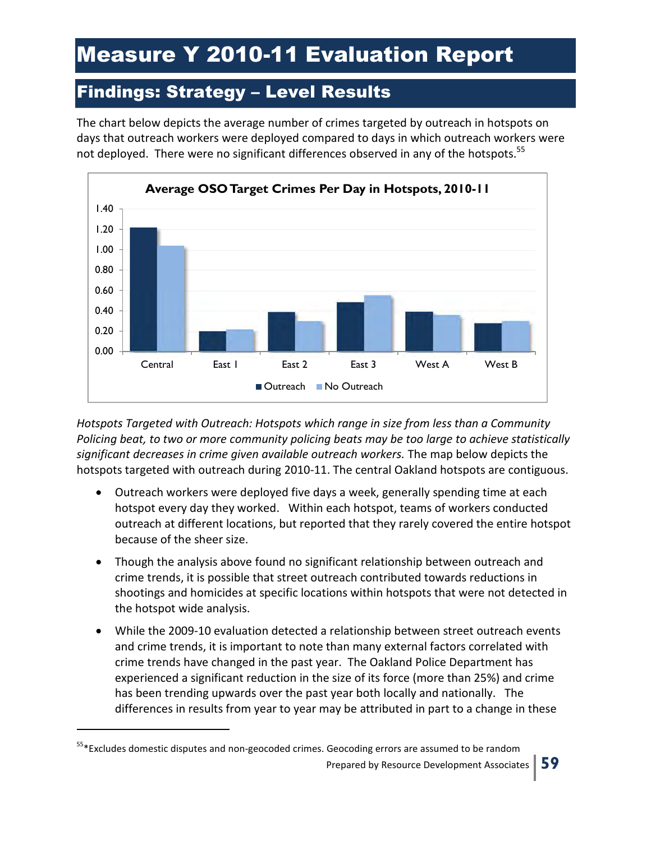### Findings: Strategy – Level Results

The chart below depicts the average number of crimes targeted by outreach in hotspots on days that outreach workers were deployed compared to days in which outreach workers were not deployed. There were no significant differences observed in any of the hotspots.<sup>55</sup>



*Hotspots Targeted with Outreach: Hotspots which range in size from less than a Community Policing beat, to two or more community policing beats may be too large to achieve statistically significant decreases in crime given available outreach workers.* The map below depicts the hotspots targeted with outreach during 2010-11. The central Oakland hotspots are contiguous.

- Outreach workers were deployed five days a week, generally spending time at each hotspot every day they worked. Within each hotspot, teams of workers conducted outreach at different locations, but reported that they rarely covered the entire hotspot because of the sheer size.
- Though the analysis above found no significant relationship between outreach and crime trends, it is possible that street outreach contributed towards reductions in shootings and homicides at specific locations within hotspots that were not detected in the hotspot wide analysis.
- While the 2009-10 evaluation detected a relationship between street outreach events and crime trends, it is important to note than many external factors correlated with crime trends have changed in the past year. The Oakland Police Department has experienced a significant reduction in the size of its force (more than 25%) and crime has been trending upwards over the past year both locally and nationally. The differences in results from year to year may be attributed in part to a change in these

Prepared by Resource Development Associates **59** <sup>55</sup>\*Excludes domestic disputes and non-geocoded crimes. Geocoding errors are assumed to be random

 $\overline{a}$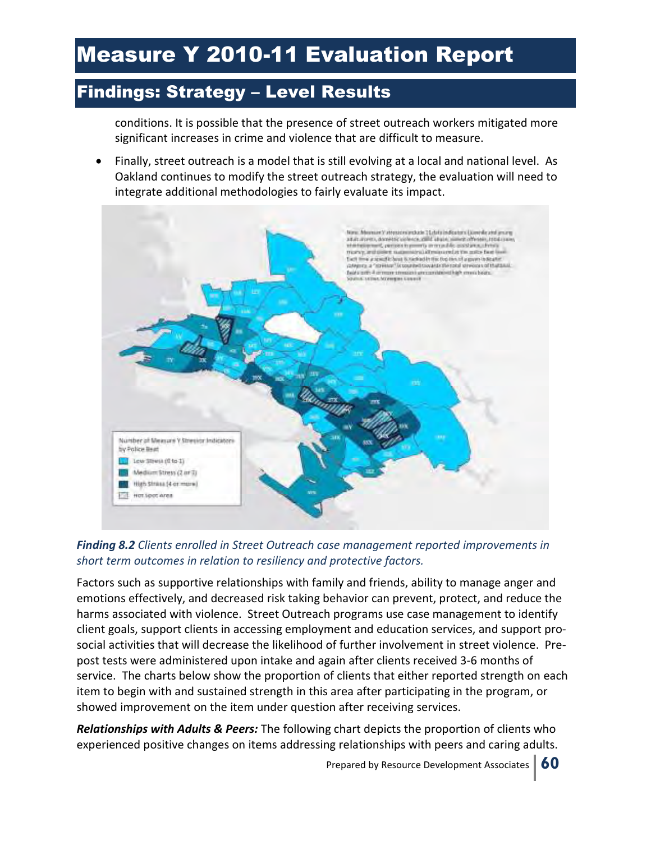### Findings: Strategy – Level Results

conditions. It is possible that the presence of street outreach workers mitigated more significant increases in crime and violence that are difficult to measure.

• Finally, street outreach is a model that is still evolving at a local and national level. As Oakland continues to modify the street outreach strategy, the evaluation will need to integrate additional methodologies to fairly evaluate its impact.



#### *Finding 8.2 Clients enrolled in Street Outreach case management reported improvements in short term outcomes in relation to resiliency and protective factors.*

Factors such as supportive relationships with family and friends, ability to manage anger and emotions effectively, and decreased risk taking behavior can prevent, protect, and reduce the harms associated with violence. Street Outreach programs use case management to identify client goals, support clients in accessing employment and education services, and support prosocial activities that will decrease the likelihood of further involvement in street violence. Prepost tests were administered upon intake and again after clients received 3-6 months of service. The charts below show the proportion of clients that either reported strength on each item to begin with and sustained strength in this area after participating in the program, or showed improvement on the item under question after receiving services.

*Relationships with Adults & Peers:* The following chart depicts the proportion of clients who experienced positive changes on items addressing relationships with peers and caring adults.

Prepared by Resource Development Associates **60**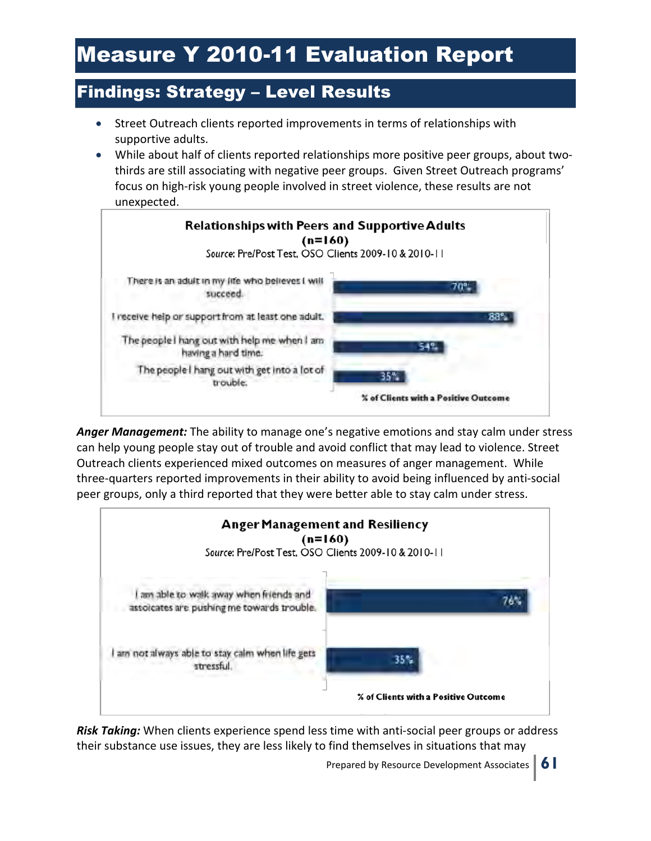### Findings: Strategy – Level Results

- Street Outreach clients reported improvements in terms of relationships with supportive adults.
- While about half of clients reported relationships more positive peer groups, about twothirds are still associating with negative peer groups. Given Street Outreach programs' focus on high-risk young people involved in street violence, these results are not unexpected.



*Anger Management:* The ability to manage one's negative emotions and stay calm under stress can help young people stay out of trouble and avoid conflict that may lead to violence. Street Outreach clients experienced mixed outcomes on measures of anger management. While three-quarters reported improvements in their ability to avoid being influenced by anti-social peer groups, only a third reported that they were better able to stay calm under stress.



*Risk Taking:* When clients experience spend less time with anti-social peer groups or address their substance use issues, they are less likely to find themselves in situations that may

Prepared by Resource Development Associates **61**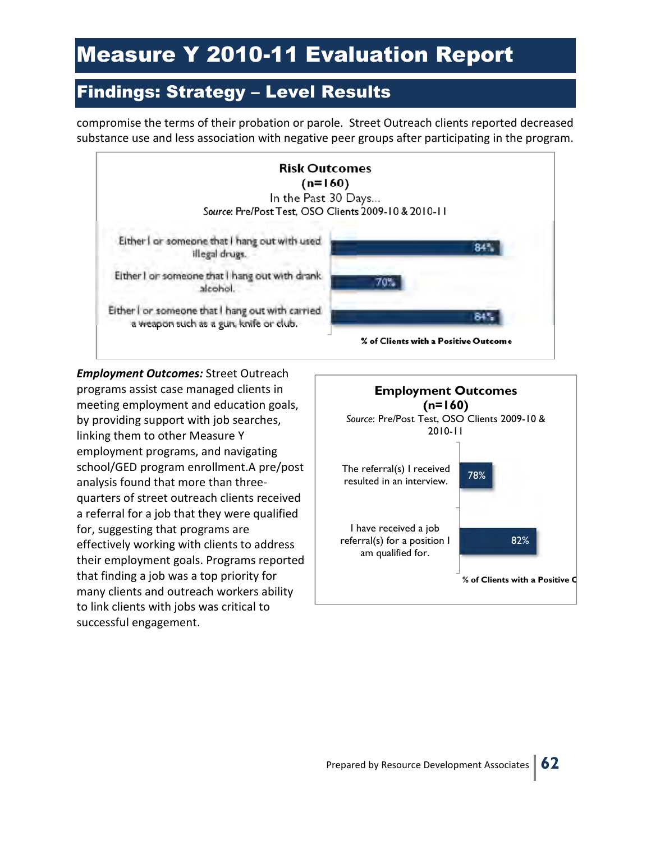### Findings: Strategy – Level Results

compromise the terms of their probation or parole. Street Outreach clients reported decreased substance use and less association with negative peer groups after participating in the program.



*Employment Outcomes:* Street Outreach programs assist case managed clients in meeting employment and education goals, by providing support with job searches, linking them to other Measure Y employment programs, and navigating school/GED program enrollment.A pre/post analysis found that more than threequarters of street outreach clients received a referral for a job that they were qualified for, suggesting that programs are effectively working with clients to address their employment goals. Programs reported that finding a job was a top priority for many clients and outreach workers ability to link clients with jobs was critical to successful engagement.

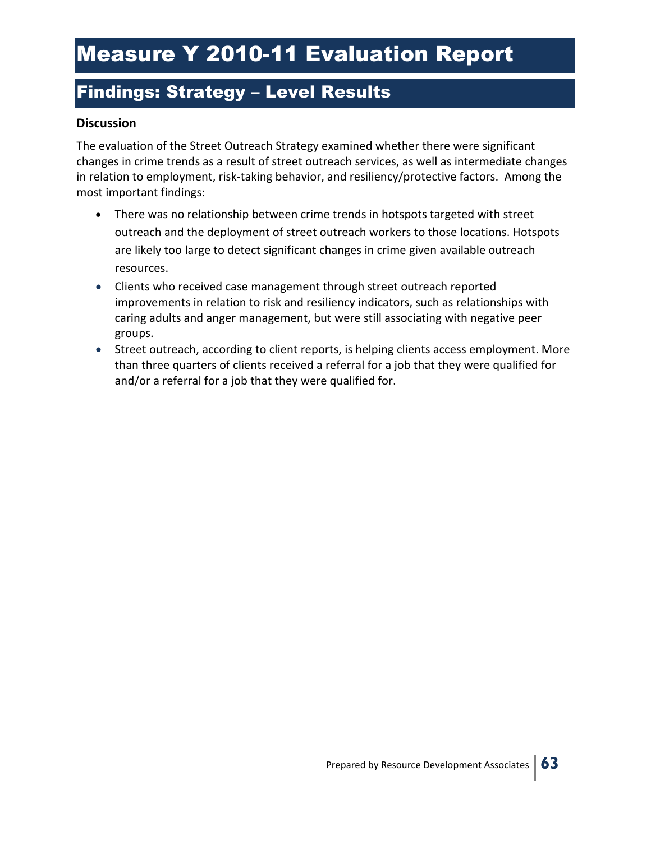### Findings: Strategy – Level Results

#### **Discussion**

The evaluation of the Street Outreach Strategy examined whether there were significant changes in crime trends as a result of street outreach services, as well as intermediate changes in relation to employment, risk-taking behavior, and resiliency/protective factors. Among the most important findings:

- There was no relationship between crime trends in hotspots targeted with street outreach and the deployment of street outreach workers to those locations. Hotspots are likely too large to detect significant changes in crime given available outreach resources.
- Clients who received case management through street outreach reported improvements in relation to risk and resiliency indicators, such as relationships with caring adults and anger management, but were still associating with negative peer groups.
- Street outreach, according to client reports, is helping clients access employment. More than three quarters of clients received a referral for a job that they were qualified for and/or a referral for a job that they were qualified for.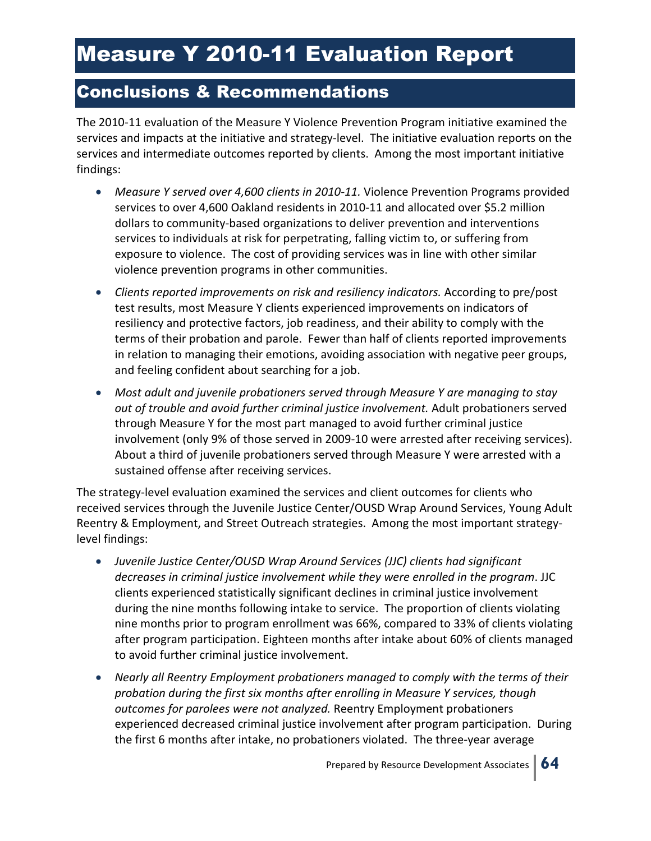### Conclusions & Recommendations

The 2010-11 evaluation of the Measure Y Violence Prevention Program initiative examined the services and impacts at the initiative and strategy-level. The initiative evaluation reports on the services and intermediate outcomes reported by clients. Among the most important initiative findings:

- *Measure Y served over 4,600 clients in 2010-11.* Violence Prevention Programs provided services to over 4,600 Oakland residents in 2010-11 and allocated over \$5.2 million dollars to community-based organizations to deliver prevention and interventions services to individuals at risk for perpetrating, falling victim to, or suffering from exposure to violence. The cost of providing services was in line with other similar violence prevention programs in other communities.
- *Clients reported improvements on risk and resiliency indicators.* According to pre/post test results, most Measure Y clients experienced improvements on indicators of resiliency and protective factors, job readiness, and their ability to comply with the terms of their probation and parole. Fewer than half of clients reported improvements in relation to managing their emotions, avoiding association with negative peer groups, and feeling confident about searching for a job.
- *Most adult and juvenile probationers served through Measure Y are managing to stay out of trouble and avoid further criminal justice involvement.* Adult probationers served through Measure Y for the most part managed to avoid further criminal justice involvement (only 9% of those served in 2009-10 were arrested after receiving services). About a third of juvenile probationers served through Measure Y were arrested with a sustained offense after receiving services.

The strategy-level evaluation examined the services and client outcomes for clients who received services through the Juvenile Justice Center/OUSD Wrap Around Services, Young Adult Reentry & Employment, and Street Outreach strategies. Among the most important strategylevel findings:

- *Juvenile Justice Center/OUSD Wrap Around Services (JJC) clients had significant decreases in criminal justice involvement while they were enrolled in the program*. JJC clients experienced statistically significant declines in criminal justice involvement during the nine months following intake to service. The proportion of clients violating nine months prior to program enrollment was 66%, compared to 33% of clients violating after program participation. Eighteen months after intake about 60% of clients managed to avoid further criminal justice involvement.
- *Nearly all Reentry Employment probationers managed to comply with the terms of their probation during the first six months after enrolling in Measure Y services, though outcomes for parolees were not analyzed.* Reentry Employment probationers experienced decreased criminal justice involvement after program participation. During the first 6 months after intake, no probationers violated. The three-year average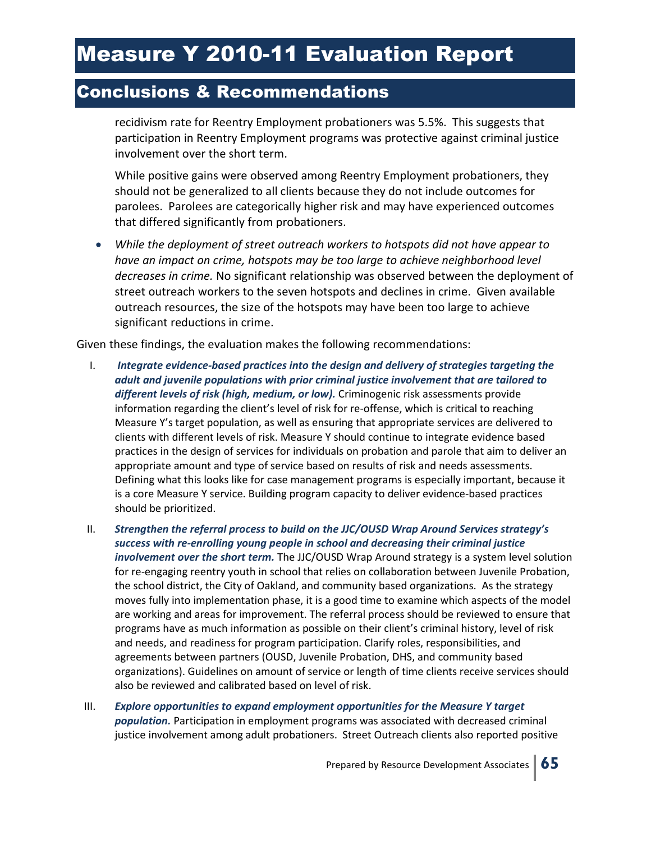### Conclusions & Recommendations

recidivism rate for Reentry Employment probationers was 5.5%. This suggests that participation in Reentry Employment programs was protective against criminal justice involvement over the short term.

While positive gains were observed among Reentry Employment probationers, they should not be generalized to all clients because they do not include outcomes for parolees. Parolees are categorically higher risk and may have experienced outcomes that differed significantly from probationers.

• *While the deployment of street outreach workers to hotspots did not have appear to have an impact on crime, hotspots may be too large to achieve neighborhood level decreases in crime.* No significant relationship was observed between the deployment of street outreach workers to the seven hotspots and declines in crime. Given available outreach resources, the size of the hotspots may have been too large to achieve significant reductions in crime.

Given these findings, the evaluation makes the following recommendations:

- I. *Integrate evidence-based practices into the design and delivery of strategies targeting the adult and juvenile populations with prior criminal justice involvement that are tailored to different levels of risk (high, medium, or low).* Criminogenic risk assessments provide information regarding the client's level of risk for re-offense, which is critical to reaching Measure Y's target population, as well as ensuring that appropriate services are delivered to clients with different levels of risk. Measure Y should continue to integrate evidence based practices in the design of services for individuals on probation and parole that aim to deliver an appropriate amount and type of service based on results of risk and needs assessments. Defining what this looks like for case management programs is especially important, because it is a core Measure Y service. Building program capacity to deliver evidence-based practices should be prioritized.
- II. *Strengthen the referral process to build on the JJC/OUSD Wrap Around Services strategy's success with re-enrolling young people in school and decreasing their criminal justice involvement over the short term.* The JJC/OUSD Wrap Around strategy is a system level solution for re-engaging reentry youth in school that relies on collaboration between Juvenile Probation, the school district, the City of Oakland, and community based organizations. As the strategy moves fully into implementation phase, it is a good time to examine which aspects of the model are working and areas for improvement. The referral process should be reviewed to ensure that programs have as much information as possible on their client's criminal history, level of risk and needs, and readiness for program participation. Clarify roles, responsibilities, and agreements between partners (OUSD, Juvenile Probation, DHS, and community based organizations). Guidelines on amount of service or length of time clients receive services should also be reviewed and calibrated based on level of risk.
- III. *Explore opportunities to expand employment opportunities for the Measure Y target population.* Participation in employment programs was associated with decreased criminal justice involvement among adult probationers. Street Outreach clients also reported positive

Prepared by Resource Development Associates **65**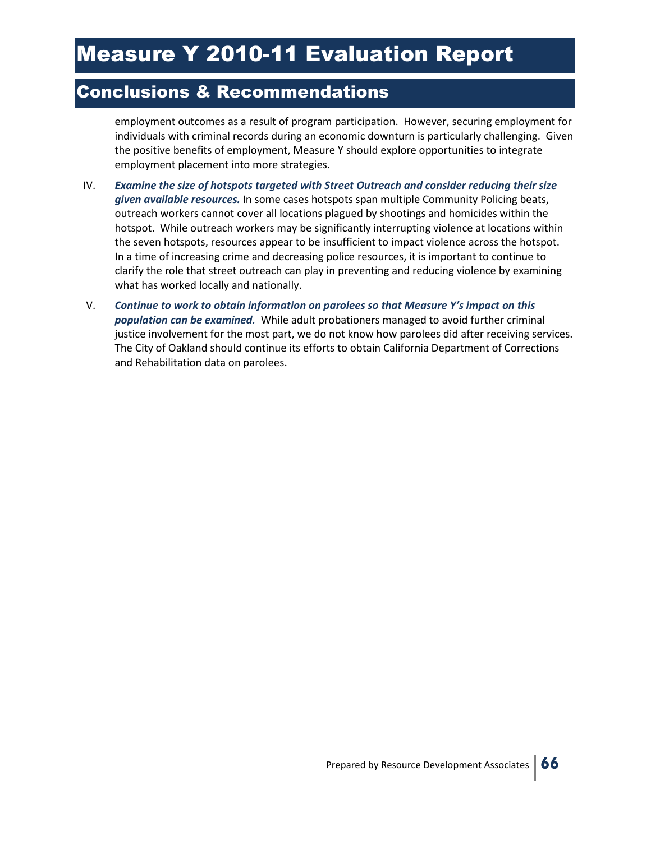### Conclusions & Recommendations

employment outcomes as a result of program participation. However, securing employment for individuals with criminal records during an economic downturn is particularly challenging. Given the positive benefits of employment, Measure Y should explore opportunities to integrate employment placement into more strategies.

- IV. *Examine the size of hotspots targeted with Street Outreach and consider reducing their size given available resources.* In some cases hotspots span multiple Community Policing beats, outreach workers cannot cover all locations plagued by shootings and homicides within the hotspot. While outreach workers may be significantly interrupting violence at locations within the seven hotspots, resources appear to be insufficient to impact violence across the hotspot. In a time of increasing crime and decreasing police resources, it is important to continue to clarify the role that street outreach can play in preventing and reducing violence by examining what has worked locally and nationally.
- V. *Continue to work to obtain information on parolees so that Measure Y's impact on this population can be examined.* While adult probationers managed to avoid further criminal justice involvement for the most part, we do not know how parolees did after receiving services. The City of Oakland should continue its efforts to obtain California Department of Corrections and Rehabilitation data on parolees.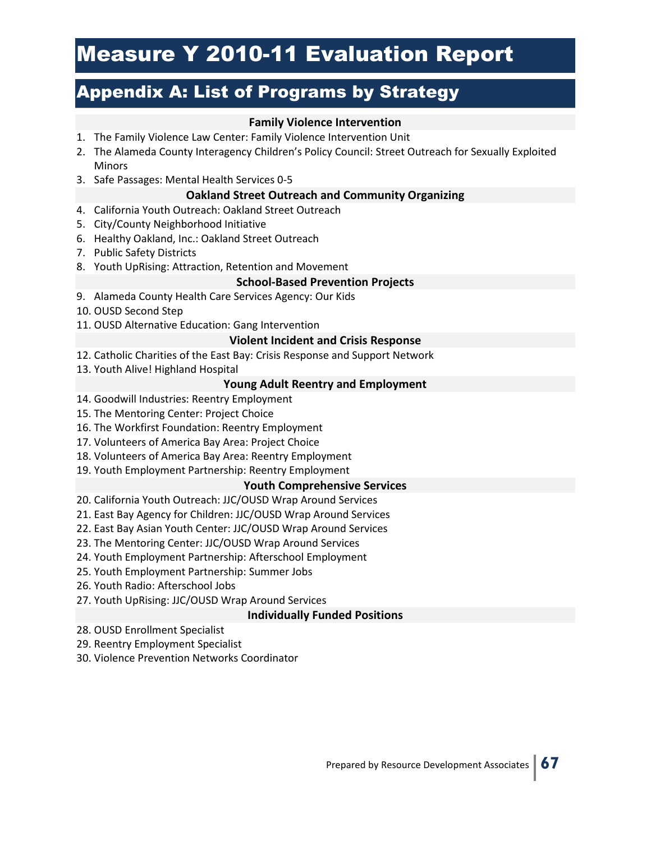### Appendix A: List of Programs by Strategy

#### **Family Violence Intervention**

- 1. The Family Violence Law Center: Family Violence Intervention Unit
- 2. The Alameda County Interagency Children's Policy Council: Street Outreach for Sexually Exploited Minors
- 3. Safe Passages: Mental Health Services 0-5

#### **Oakland Street Outreach and Community Organizing**

- 4. California Youth Outreach: Oakland Street Outreach
- 5. City/County Neighborhood Initiative
- 6. Healthy Oakland, Inc.: Oakland Street Outreach
- 7. Public Safety Districts
- 8. Youth UpRising: Attraction, Retention and Movement

#### **School-Based Prevention Projects**

- 9. Alameda County Health Care Services Agency: Our Kids
- 10. OUSD Second Step
- 11. OUSD Alternative Education: Gang Intervention

#### **Violent Incident and Crisis Response**

- 12. Catholic Charities of the East Bay: Crisis Response and Support Network
- 13. Youth Alive! Highland Hospital

#### **Young Adult Reentry and Employment**

- 14. Goodwill Industries: Reentry Employment
- 15. The Mentoring Center: Project Choice
- 16. The Workfirst Foundation: Reentry Employment
- 17. Volunteers of America Bay Area: Project Choice
- 18. Volunteers of America Bay Area: Reentry Employment
- 19. Youth Employment Partnership: Reentry Employment

#### **Youth Comprehensive Services**

20. California Youth Outreach: JJC/OUSD Wrap Around Services

- 21. East Bay Agency for Children: JJC/OUSD Wrap Around Services
- 22. East Bay Asian Youth Center: JJC/OUSD Wrap Around Services
- 23. The Mentoring Center: JJC/OUSD Wrap Around Services
- 24. Youth Employment Partnership: Afterschool Employment
- 25. Youth Employment Partnership: Summer Jobs
- 26. Youth Radio: Afterschool Jobs
- 27. Youth UpRising: JJC/OUSD Wrap Around Services

#### **Individually Funded Positions**

- 28. OUSD Enrollment Specialist
- 29. Reentry Employment Specialist
- 30. Violence Prevention Networks Coordinator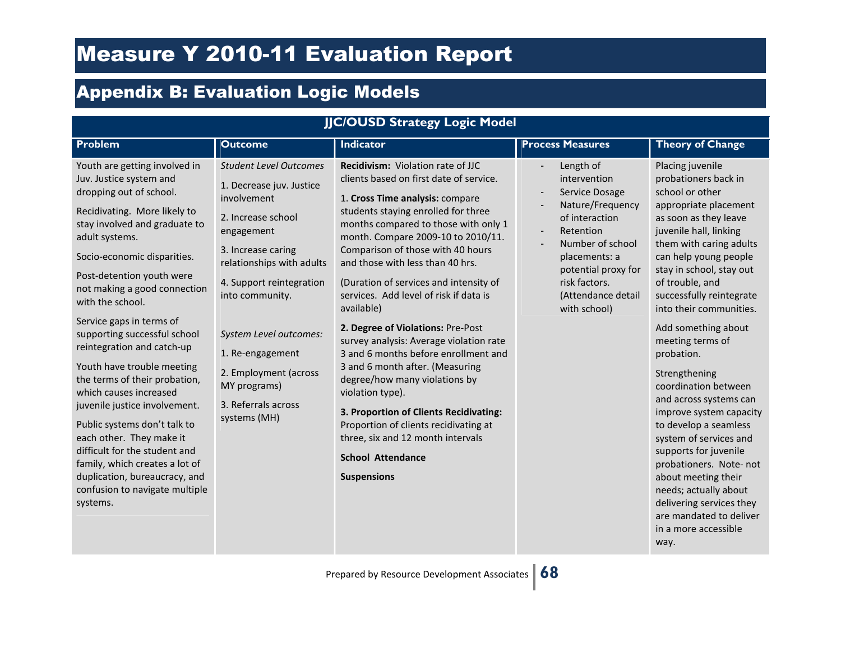### Appendix B: Evaluation Logic Models

| <b>JJC/OUSD Strategy Logic Model</b>                                                                                                                                                                                                                                                                                                                                                                                                                                                                                                                                                                                                                                                                                     |                                                                                                                                                                                                                                                                                                                                              |                                                                                                                                                                                                                                                                                                                                                                                                                                                                                                                                                                                                                                                                                                                                                                                                                  |                                                                                                                                                                                                                   |                                                                                                                                                                                                                                                                                                                                                                                                                                                                                                                                                                                                                                                                                               |  |  |
|--------------------------------------------------------------------------------------------------------------------------------------------------------------------------------------------------------------------------------------------------------------------------------------------------------------------------------------------------------------------------------------------------------------------------------------------------------------------------------------------------------------------------------------------------------------------------------------------------------------------------------------------------------------------------------------------------------------------------|----------------------------------------------------------------------------------------------------------------------------------------------------------------------------------------------------------------------------------------------------------------------------------------------------------------------------------------------|------------------------------------------------------------------------------------------------------------------------------------------------------------------------------------------------------------------------------------------------------------------------------------------------------------------------------------------------------------------------------------------------------------------------------------------------------------------------------------------------------------------------------------------------------------------------------------------------------------------------------------------------------------------------------------------------------------------------------------------------------------------------------------------------------------------|-------------------------------------------------------------------------------------------------------------------------------------------------------------------------------------------------------------------|-----------------------------------------------------------------------------------------------------------------------------------------------------------------------------------------------------------------------------------------------------------------------------------------------------------------------------------------------------------------------------------------------------------------------------------------------------------------------------------------------------------------------------------------------------------------------------------------------------------------------------------------------------------------------------------------------|--|--|
| Problem                                                                                                                                                                                                                                                                                                                                                                                                                                                                                                                                                                                                                                                                                                                  | <b>Outcome</b>                                                                                                                                                                                                                                                                                                                               | <b>Indicator</b>                                                                                                                                                                                                                                                                                                                                                                                                                                                                                                                                                                                                                                                                                                                                                                                                 | <b>Process Measures</b>                                                                                                                                                                                           | <b>Theory of Change</b>                                                                                                                                                                                                                                                                                                                                                                                                                                                                                                                                                                                                                                                                       |  |  |
| Youth are getting involved in<br>Juv. Justice system and<br>dropping out of school.<br>Recidivating. More likely to<br>stay involved and graduate to<br>adult systems.<br>Socio-economic disparities.<br>Post-detention youth were<br>not making a good connection<br>with the school.<br>Service gaps in terms of<br>supporting successful school<br>reintegration and catch-up<br>Youth have trouble meeting<br>the terms of their probation,<br>which causes increased<br>juvenile justice involvement.<br>Public systems don't talk to<br>each other. They make it<br>difficult for the student and<br>family, which creates a lot of<br>duplication, bureaucracy, and<br>confusion to navigate multiple<br>systems. | <b>Student Level Outcomes</b><br>1. Decrease juv. Justice<br>involvement<br>2. Increase school<br>engagement<br>3. Increase caring<br>relationships with adults<br>4. Support reintegration<br>into community.<br>System Level outcomes:<br>1. Re-engagement<br>2. Employment (across<br>MY programs)<br>3. Referrals across<br>systems (MH) | <b>Recidivism:</b> Violation rate of JJC<br>clients based on first date of service.<br>1. Cross Time analysis: compare<br>students staying enrolled for three<br>months compared to those with only 1<br>month. Compare 2009-10 to 2010/11.<br>Comparison of those with 40 hours<br>and those with less than 40 hrs.<br>(Duration of services and intensity of<br>services. Add level of risk if data is<br>available)<br>2. Degree of Violations: Pre-Post<br>survey analysis: Average violation rate<br>3 and 6 months before enrollment and<br>3 and 6 month after. (Measuring<br>degree/how many violations by<br>violation type).<br>3. Proportion of Clients Recidivating:<br>Proportion of clients recidivating at<br>three, six and 12 month intervals<br><b>School Attendance</b><br><b>Suspensions</b> | Length of<br>intervention<br>Service Dosage<br>Nature/Frequency<br>of interaction<br>Retention<br>Number of school<br>placements: a<br>potential proxy for<br>risk factors.<br>(Attendance detail<br>with school) | Placing juvenile<br>probationers back in<br>school or other<br>appropriate placement<br>as soon as they leave<br>juvenile hall, linking<br>them with caring adults<br>can help young people<br>stay in school, stay out<br>of trouble, and<br>successfully reintegrate<br>into their communities.<br>Add something about<br>meeting terms of<br>probation.<br>Strengthening<br>coordination between<br>and across systems can<br>improve system capacity<br>to develop a seamless<br>system of services and<br>supports for juvenile<br>probationers. Note-not<br>about meeting their<br>needs; actually about<br>delivering services they<br>are mandated to deliver<br>in a more accessible |  |  |
|                                                                                                                                                                                                                                                                                                                                                                                                                                                                                                                                                                                                                                                                                                                          |                                                                                                                                                                                                                                                                                                                                              |                                                                                                                                                                                                                                                                                                                                                                                                                                                                                                                                                                                                                                                                                                                                                                                                                  |                                                                                                                                                                                                                   | way.                                                                                                                                                                                                                                                                                                                                                                                                                                                                                                                                                                                                                                                                                          |  |  |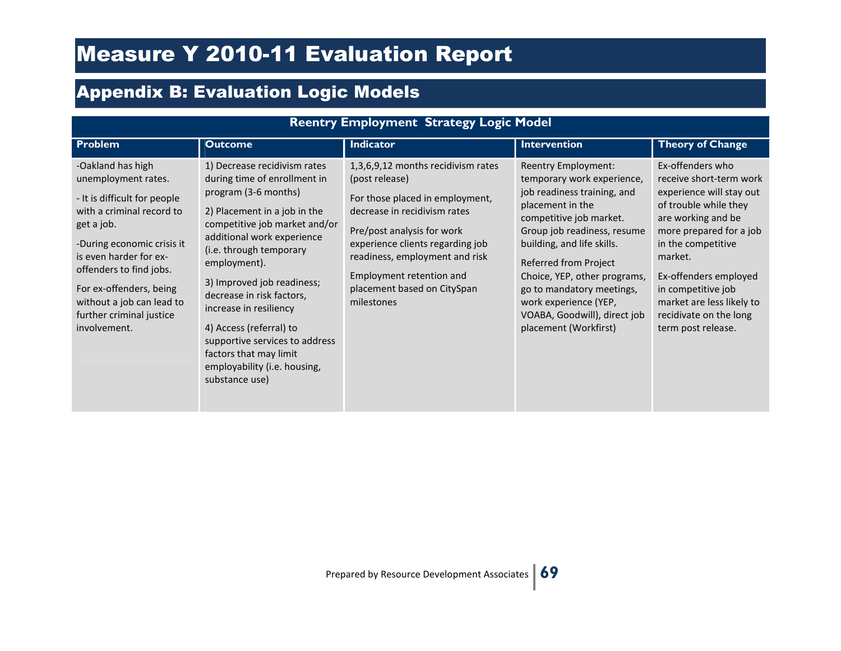### Appendix B: Evaluation Logic Models

| <b>Reentry Employment Strategy Logic Model</b>                                                                                                                                                                                                                                                             |                                                                                                                                                                                                                                                                                                                                                                                                                                                              |                                                                                                                                                                                                                                                                                                      |                                                                                                                                                                                                                                                                                                                                                                      |                                                                                                                                                                                                                                                                                                                |  |  |
|------------------------------------------------------------------------------------------------------------------------------------------------------------------------------------------------------------------------------------------------------------------------------------------------------------|--------------------------------------------------------------------------------------------------------------------------------------------------------------------------------------------------------------------------------------------------------------------------------------------------------------------------------------------------------------------------------------------------------------------------------------------------------------|------------------------------------------------------------------------------------------------------------------------------------------------------------------------------------------------------------------------------------------------------------------------------------------------------|----------------------------------------------------------------------------------------------------------------------------------------------------------------------------------------------------------------------------------------------------------------------------------------------------------------------------------------------------------------------|----------------------------------------------------------------------------------------------------------------------------------------------------------------------------------------------------------------------------------------------------------------------------------------------------------------|--|--|
| Problem                                                                                                                                                                                                                                                                                                    | <b>Outcome</b>                                                                                                                                                                                                                                                                                                                                                                                                                                               | <b>Indicator</b>                                                                                                                                                                                                                                                                                     | <b>Intervention</b>                                                                                                                                                                                                                                                                                                                                                  | <b>Theory of Change</b>                                                                                                                                                                                                                                                                                        |  |  |
| -Oakland has high<br>unemployment rates.<br>- It is difficult for people<br>with a criminal record to<br>get a job.<br>-During economic crisis it<br>is even harder for ex-<br>offenders to find jobs.<br>For ex-offenders, being<br>without a job can lead to<br>further criminal justice<br>involvement. | 1) Decrease recidivism rates<br>during time of enrollment in<br>program (3-6 months)<br>2) Placement in a job in the<br>competitive job market and/or<br>additional work experience<br>(i.e. through temporary<br>employment).<br>3) Improved job readiness;<br>decrease in risk factors,<br>increase in resiliency<br>4) Access (referral) to<br>supportive services to address<br>factors that may limit<br>employability (i.e. housing,<br>substance use) | 1,3,6,9,12 months recidivism rates<br>(post release)<br>For those placed in employment,<br>decrease in recidivism rates<br>Pre/post analysis for work<br>experience clients regarding job<br>readiness, employment and risk<br>Employment retention and<br>placement based on CitySpan<br>milestones | Reentry Employment:<br>temporary work experience,<br>job readiness training, and<br>placement in the<br>competitive job market.<br>Group job readiness, resume<br>building, and life skills.<br>Referred from Project<br>Choice, YEP, other programs,<br>go to mandatory meetings,<br>work experience (YEP,<br>VOABA, Goodwill), direct job<br>placement (Workfirst) | Ex-offenders who<br>receive short-term work<br>experience will stay out<br>of trouble while they<br>are working and be<br>more prepared for a job<br>in the competitive<br>market.<br>Ex-offenders employed<br>in competitive job<br>market are less likely to<br>recidivate on the long<br>term post release. |  |  |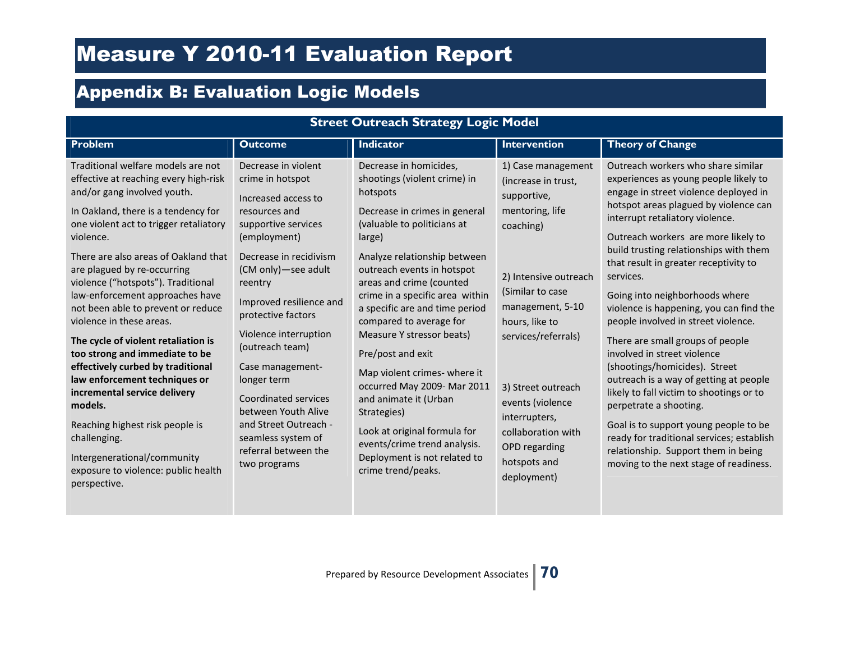### Appendix B: Evaluation Logic Models

| <b>Street Outreach Strategy Logic Model</b>                                                                                                                                                                                                                                                                                                                                                                                                                                                                                                                                                                                                                                                                                                                   |                                                                                                                                                                                                                                                                                                                                                                                                                                                          |                                                                                                                                                                                                                                                                                                                                                                                                                                                                                                                                                                                                                       |                                                                                                                                                                                                                                                                                                                                      |                                                                                                                                                                                                                                                                                                                                                                                                                                                                                                                                                                                                                                                                                                                                                                                                                                                        |  |  |
|---------------------------------------------------------------------------------------------------------------------------------------------------------------------------------------------------------------------------------------------------------------------------------------------------------------------------------------------------------------------------------------------------------------------------------------------------------------------------------------------------------------------------------------------------------------------------------------------------------------------------------------------------------------------------------------------------------------------------------------------------------------|----------------------------------------------------------------------------------------------------------------------------------------------------------------------------------------------------------------------------------------------------------------------------------------------------------------------------------------------------------------------------------------------------------------------------------------------------------|-----------------------------------------------------------------------------------------------------------------------------------------------------------------------------------------------------------------------------------------------------------------------------------------------------------------------------------------------------------------------------------------------------------------------------------------------------------------------------------------------------------------------------------------------------------------------------------------------------------------------|--------------------------------------------------------------------------------------------------------------------------------------------------------------------------------------------------------------------------------------------------------------------------------------------------------------------------------------|--------------------------------------------------------------------------------------------------------------------------------------------------------------------------------------------------------------------------------------------------------------------------------------------------------------------------------------------------------------------------------------------------------------------------------------------------------------------------------------------------------------------------------------------------------------------------------------------------------------------------------------------------------------------------------------------------------------------------------------------------------------------------------------------------------------------------------------------------------|--|--|
| <b>Problem</b>                                                                                                                                                                                                                                                                                                                                                                                                                                                                                                                                                                                                                                                                                                                                                | <b>Outcome</b>                                                                                                                                                                                                                                                                                                                                                                                                                                           | <b>Indicator</b>                                                                                                                                                                                                                                                                                                                                                                                                                                                                                                                                                                                                      | <b>Intervention</b>                                                                                                                                                                                                                                                                                                                  | <b>Theory of Change</b>                                                                                                                                                                                                                                                                                                                                                                                                                                                                                                                                                                                                                                                                                                                                                                                                                                |  |  |
| Traditional welfare models are not<br>effective at reaching every high-risk<br>and/or gang involved youth.<br>In Oakland, there is a tendency for<br>one violent act to trigger retaliatory<br>violence.<br>There are also areas of Oakland that<br>are plagued by re-occurring<br>violence ("hotspots"). Traditional<br>law-enforcement approaches have<br>not been able to prevent or reduce<br>violence in these areas.<br>The cycle of violent retaliation is<br>too strong and immediate to be<br>effectively curbed by traditional<br>law enforcement techniques or<br>incremental service delivery<br>models.<br>Reaching highest risk people is<br>challenging.<br>Intergenerational/community<br>exposure to violence: public health<br>perspective. | Decrease in violent<br>crime in hotspot<br>Increased access to<br>resources and<br>supportive services<br>(employment)<br>Decrease in recidivism<br>(CM only)-see adult<br>reentry<br>Improved resilience and<br>protective factors<br>Violence interruption<br>(outreach team)<br>Case management-<br>longer term<br>Coordinated services<br>between Youth Alive<br>and Street Outreach -<br>seamless system of<br>referral between the<br>two programs | Decrease in homicides,<br>shootings (violent crime) in<br>hotspots<br>Decrease in crimes in general<br>(valuable to politicians at<br>large)<br>Analyze relationship between<br>outreach events in hotspot<br>areas and crime (counted<br>crime in a specific area within<br>a specific are and time period<br>compared to average for<br>Measure Y stressor beats)<br>Pre/post and exit<br>Map violent crimes- where it<br>occurred May 2009- Mar 2011<br>and animate it (Urban<br>Strategies)<br>Look at original formula for<br>events/crime trend analysis.<br>Deployment is not related to<br>crime trend/peaks. | 1) Case management<br>(increase in trust,<br>supportive,<br>mentoring, life<br>coaching)<br>2) Intensive outreach<br>(Similar to case)<br>management, 5-10<br>hours, like to<br>services/referrals)<br>3) Street outreach<br>events (violence<br>interrupters,<br>collaboration with<br>OPD regarding<br>hotspots and<br>deployment) | Outreach workers who share similar<br>experiences as young people likely to<br>engage in street violence deployed in<br>hotspot areas plagued by violence can<br>interrupt retaliatory violence.<br>Outreach workers are more likely to<br>build trusting relationships with them<br>that result in greater receptivity to<br>services.<br>Going into neighborhoods where<br>violence is happening, you can find the<br>people involved in street violence.<br>There are small groups of people<br>involved in street violence<br>(shootings/homicides). Street<br>outreach is a way of getting at people<br>likely to fall victim to shootings or to<br>perpetrate a shooting.<br>Goal is to support young people to be<br>ready for traditional services; establish<br>relationship. Support them in being<br>moving to the next stage of readiness. |  |  |
|                                                                                                                                                                                                                                                                                                                                                                                                                                                                                                                                                                                                                                                                                                                                                               |                                                                                                                                                                                                                                                                                                                                                                                                                                                          |                                                                                                                                                                                                                                                                                                                                                                                                                                                                                                                                                                                                                       |                                                                                                                                                                                                                                                                                                                                      |                                                                                                                                                                                                                                                                                                                                                                                                                                                                                                                                                                                                                                                                                                                                                                                                                                                        |  |  |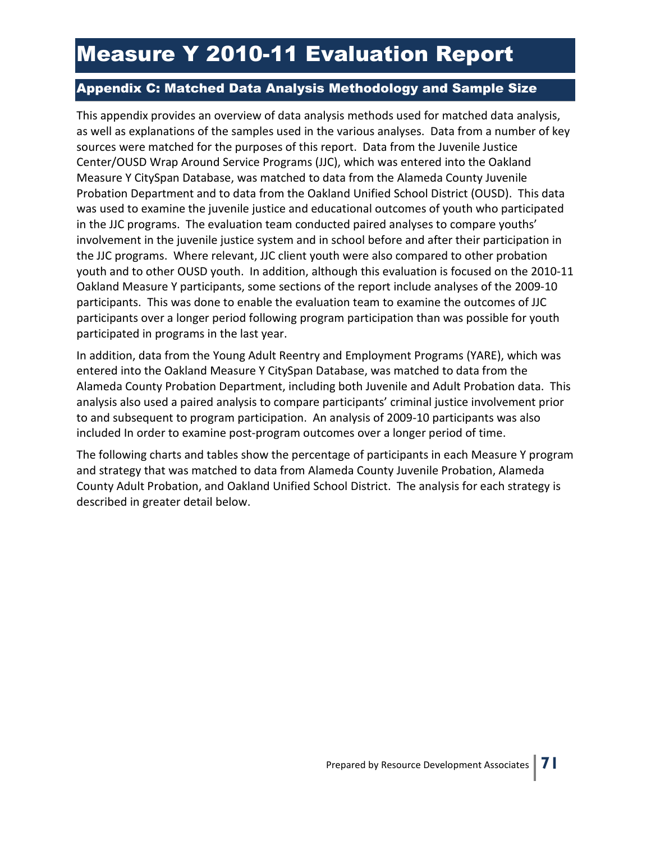#### Appendix C: Matched Data Analysis Methodology and Sample Size

This appendix provides an overview of data analysis methods used for matched data analysis, as well as explanations of the samples used in the various analyses. Data from a number of key sources were matched for the purposes of this report. Data from the Juvenile Justice Center/OUSD Wrap Around Service Programs (JJC), which was entered into the Oakland Measure Y CitySpan Database, was matched to data from the Alameda County Juvenile Probation Department and to data from the Oakland Unified School District (OUSD). This data was used to examine the juvenile justice and educational outcomes of youth who participated in the JJC programs. The evaluation team conducted paired analyses to compare youths' involvement in the juvenile justice system and in school before and after their participation in the JJC programs. Where relevant, JJC client youth were also compared to other probation youth and to other OUSD youth. In addition, although this evaluation is focused on the 2010-11 Oakland Measure Y participants, some sections of the report include analyses of the 2009-10 participants. This was done to enable the evaluation team to examine the outcomes of JJC participants over a longer period following program participation than was possible for youth participated in programs in the last year.

In addition, data from the Young Adult Reentry and Employment Programs (YARE), which was entered into the Oakland Measure Y CitySpan Database, was matched to data from the Alameda County Probation Department, including both Juvenile and Adult Probation data. This analysis also used a paired analysis to compare participants' criminal justice involvement prior to and subsequent to program participation. An analysis of 2009-10 participants was also included In order to examine post-program outcomes over a longer period of time.

The following charts and tables show the percentage of participants in each Measure Y program and strategy that was matched to data from Alameda County Juvenile Probation, Alameda County Adult Probation, and Oakland Unified School District. The analysis for each strategy is described in greater detail below.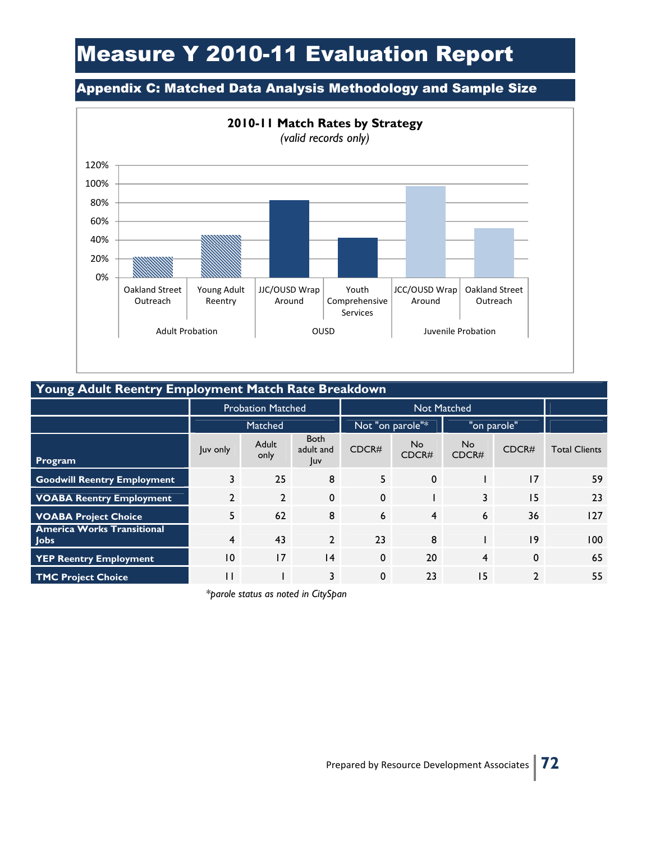#### Appendix C: Matched Data Analysis Methodology and Sample Size



| Young Adult Reentry Employment Match Rate Breakdown |                |                          |                                        |                  |                |                    |                |                      |
|-----------------------------------------------------|----------------|--------------------------|----------------------------------------|------------------|----------------|--------------------|----------------|----------------------|
|                                                     |                | <b>Probation Matched</b> |                                        |                  |                | <b>Not Matched</b> |                |                      |
|                                                     |                | Matched                  |                                        | Not "on parole"* |                | "on parole"        |                |                      |
| Program                                             | Juv only       | Adult<br>only            | <b>Both</b><br>adult and<br><b>Juv</b> | CDCR#            | No<br>CDCR#    | <b>No</b><br>CDCR# | CDCR#          | <b>Total Clients</b> |
| <b>Goodwill Reentry Employment</b>                  | 3              | 25                       | 8                                      | 5                | $\mathbf{0}$   |                    | 17             | 59                   |
| <b>VOABA Reentry Employment</b>                     | $\overline{2}$ | $\overline{2}$           | $\mathbf{0}$                           | $\mathbf{0}$     |                | 3                  | 15             | 2 <sub>3</sub>       |
| <b>VOABA Project Choice</b>                         | 5              | 62                       | 8                                      | 6                | $\overline{4}$ | 6                  | 36             | 127                  |
| <b>America Works Transitional</b><br><b>Jobs</b>    | $\overline{4}$ | 43                       | $\overline{2}$                         | 23               | 8              |                    | 9              | 100                  |
| <b>YEP Reentry Employment</b>                       | 10             | 17                       | 4                                      | $\mathbf{0}$     | 20             | $\overline{4}$     | $\Omega$       | 65                   |
| <b>TMC Project Choice</b>                           | $\mathbf{1}$   |                          | 3                                      | $\mathbf 0$      | 23             | 15                 | $\overline{2}$ | 55                   |

*\*parole status as noted in CitySpan*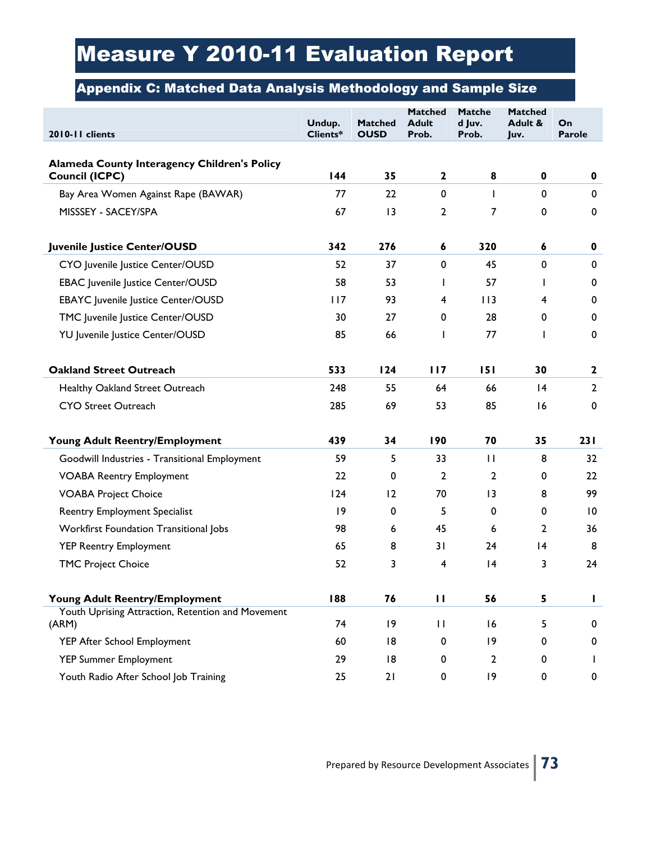#### Appendix C: Matched Data Analysis Methodology and Sample Size

| 2010-11 clients                                                       | Undup.<br>Clients* | <b>Matched</b><br><b>OUSD</b> | <b>Matched</b><br><b>Adult</b><br>Prob. | <b>Matche</b><br>d Juv.<br>Prob. | <b>Matched</b><br>Adult &<br>Juv. | On<br><b>Parole</b> |
|-----------------------------------------------------------------------|--------------------|-------------------------------|-----------------------------------------|----------------------------------|-----------------------------------|---------------------|
| Alameda County Interagency Children's Policy<br><b>Council (ICPC)</b> | 144                | 35                            | $\mathbf{2}$                            | 8                                | 0                                 | $\mathbf 0$         |
| Bay Area Women Against Rape (BAWAR)                                   | 77                 | 22                            | $\mathbf 0$                             | $\mathbf{I}$                     | $\mathbf 0$                       | $\mathbf 0$         |
| MISSSEY - SACEY/SPA                                                   | 67                 | $\overline{13}$               | $\overline{2}$                          | 7                                | 0                                 | $\pmb{0}$           |
| Juvenile Justice Center/OUSD                                          | 342                | 276                           | 6                                       | 320                              | $\boldsymbol{6}$                  | $\mathbf 0$         |
| CYO Juvenile Justice Center/OUSD                                      | 52                 | 37                            | $\mathbf 0$                             | 45                               | 0                                 | 0                   |
| <b>EBAC Juvenile Justice Center/OUSD</b>                              | 58                 | 53                            | L                                       | 57                               | L                                 | 0                   |
| <b>EBAYC Juvenile Justice Center/OUSD</b>                             | 117                | 93                            | $\overline{\mathbf{4}}$                 | 113                              | 4                                 | 0                   |
| TMC Juvenile Justice Center/OUSD                                      | 30                 | 27                            | $\mathbf 0$                             | 28                               | 0                                 | $\pmb{0}$           |
| YU Juvenile Justice Center/OUSD                                       | 85                 | 66                            | ı                                       | 77                               | L                                 | 0                   |
| <b>Oakland Street Outreach</b>                                        | 533                | 124                           | 117                                     | 151                              | 30                                | $\mathbf{2}$        |
| Healthy Oakland Street Outreach                                       | 248                | 55                            | 64                                      | 66                               | 4                                 | $\overline{2}$      |
| CYO Street Outreach                                                   | 285                | 69                            | 53                                      | 85                               | 16                                | $\pmb{0}$           |
| Young Adult Reentry/Employment                                        | 439                | 34                            | 190                                     | 70                               | 35                                | <b>231</b>          |
| Goodwill Industries - Transitional Employment                         | 59                 | 5                             | 33                                      | $\mathbf{H}$                     | 8                                 | 32                  |
| <b>VOABA Reentry Employment</b>                                       | 22                 | 0                             | $\overline{2}$                          | $\mathbf{2}$                     | 0                                 | 22                  |
| <b>VOABA Project Choice</b>                                           | 124                | 12                            | 70                                      | 13                               | 8                                 | 99                  |
| <b>Reentry Employment Specialist</b>                                  | 9                  | $\mathbf 0$                   | 5                                       | 0                                | $\mathbf{0}$                      | $\overline{10}$     |
| Workfirst Foundation Transitional Jobs                                | 98                 | 6                             | 45                                      | 6                                | $\overline{2}$                    | 36                  |
| <b>YEP Reentry Employment</b>                                         | 65                 | 8                             | 31                                      | 24                               | $\overline{14}$                   | 8                   |
| <b>TMC Project Choice</b>                                             | 52                 | 3                             | $\overline{4}$                          | 4                                | 3                                 | 24                  |
| <b>Young Adult Reentry/Employment</b>                                 | 188                | 76                            | $\mathbf{H}$                            | 56                               | 5                                 | п                   |
| Youth Uprising Attraction, Retention and Movement<br>(ARM)            | 74                 | 19                            | $\mathbf{H}$                            | 16                               | 5                                 | 0                   |
| YEP After School Employment                                           | 60                 | 8                             | 0                                       | 9                                | 0                                 | 0                   |
| <b>YEP Summer Employment</b>                                          | 29                 | 8                             | 0                                       | 2                                | 0                                 | J.                  |
| Youth Radio After School Job Training                                 | 25                 | 21                            | 0                                       | 9                                | 0                                 | 0                   |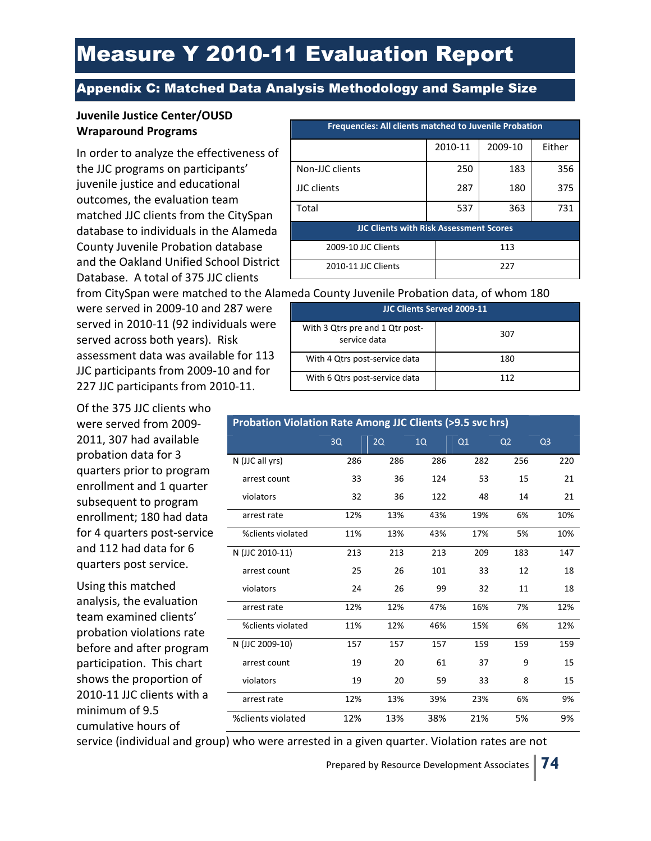#### Appendix C: Matched Data Analysis Methodology and Sample Size

#### **Juvenile Justice Center/OUSD Wraparound Programs**

In order to analyze the effectiveness of the JJC programs on participants' juvenile justice and educational outcomes, the evaluation team matched JJC clients from the CitySpan database to individuals in the Alameda County Juvenile Probation database and the Oakland Unified School District Database. A total of 375 JJC clients

| <b>Frequencies: All clients matched to Juvenile Probation</b> |         |         |        |  |  |  |  |  |
|---------------------------------------------------------------|---------|---------|--------|--|--|--|--|--|
|                                                               | 2010-11 | 2009-10 | Either |  |  |  |  |  |
| Non-JJC clients                                               | 250     | 183     | 356    |  |  |  |  |  |
| <b>JJC</b> clients                                            | 287     | 180     | 375    |  |  |  |  |  |
| Total                                                         | 537     | 363     | 731    |  |  |  |  |  |
| <b>JJC Clients with Risk Assessment Scores</b>                |         |         |        |  |  |  |  |  |
| 2009-10 JJC Clients                                           | 113     |         |        |  |  |  |  |  |
| 2010-11 JJC Clients                                           | 227     |         |        |  |  |  |  |  |

from CitySpan were matched to the Alameda County Juvenile Probation data, of whom 180

were served in 2009-10 and 287 were served in 2010-11 (92 individuals were served across both years). Risk assessment data was available for 113 JJC participants from 2009-10 and for 227 JJC participants from 2010-11.

Of the 375 JJC clients who were served from 2009- 2011, 307 had available probation data for 3 quarters prior to program enrollment and 1 quarter subsequent to program enrollment; 180 had data for 4 quarters post-service and 112 had data for 6 quarters post service.

Using this matched analysis, the evaluation team examined clients' probation violations rate before and after program participation. This chart shows the proportion of 2010-11 JJC clients with a minimum of 9.5 cumulative hours of

| caa coanty savenne i robation aata, or whom ±oo |     |  |  |  |  |
|-------------------------------------------------|-----|--|--|--|--|
| <b>JIC Clients Served 2009-11</b>               |     |  |  |  |  |
| With 3 Qtrs pre and 1 Qtr post-<br>service data | 307 |  |  |  |  |
| With 4 Qtrs post-service data                   | 180 |  |  |  |  |
| With 6 Qtrs post-service data                   | 112 |  |  |  |  |

| <b>Probation Violation Rate Among JJC Clients (&gt;9.5 svc hrs)</b> |     |     |     |     |                |                |  |  |
|---------------------------------------------------------------------|-----|-----|-----|-----|----------------|----------------|--|--|
|                                                                     | 3Q  | 2Q  | 1Q  | Q1  | Q <sub>2</sub> | Q <sub>3</sub> |  |  |
| N (JJC all yrs)                                                     | 286 | 286 | 286 | 282 | 256            | 220            |  |  |
| arrest count                                                        | 33  | 36  | 124 | 53  | 15             | 21             |  |  |
| violators                                                           | 32  | 36  | 122 | 48  | 14             | 21             |  |  |
| arrest rate                                                         | 12% | 13% | 43% | 19% | 6%             | 10%            |  |  |
| %clients violated                                                   | 11% | 13% | 43% | 17% | 5%             | 10%            |  |  |
| N (JJC 2010-11)                                                     | 213 | 213 | 213 | 209 | 183            | 147            |  |  |
| arrest count                                                        | 25  | 26  | 101 | 33  | 12             | 18             |  |  |
| violators                                                           | 24  | 26  | 99  | 32  | 11             | 18             |  |  |
| arrest rate                                                         | 12% | 12% | 47% | 16% | 7%             | 12%            |  |  |
| %clients violated                                                   | 11% | 12% | 46% | 15% | 6%             | 12%            |  |  |
| N (JJC 2009-10)                                                     | 157 | 157 | 157 | 159 | 159            | 159            |  |  |
| arrest count                                                        | 19  | 20  | 61  | 37  | 9              | 15             |  |  |
| violators                                                           | 19  | 20  | 59  | 33  | 8              | 15             |  |  |
| arrest rate                                                         | 12% | 13% | 39% | 23% | 6%             | 9%             |  |  |
| %clients violated                                                   | 12% | 13% | 38% | 21% | 5%             | 9%             |  |  |

service (individual and group) who were arrested in a given quarter. Violation rates are not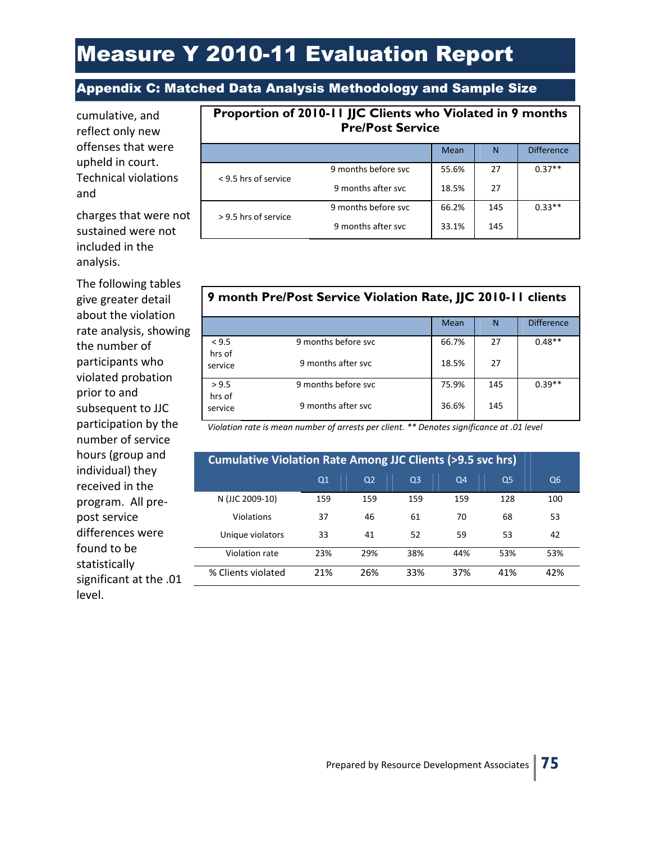#### Appendix C: Matched Data Analysis Methodology and Sample Size

cumulative, and reflect only new offenses that were upheld in court. Technical violations and

charges that were not sustained were not included in the analysis.

The following tables give greater detail about the violation rate analysis, showing the number of participants who violated probation prior to and subsequent to JJC participation by the number of service hours (group and individual) they received in the program. All prepost service differences were found to be statistically significant at the .01 level.

| Proportion of ZUTU-TT JJC Clients who violated in 9 months<br><b>Pre/Post Service</b> |                     |       |     |                   |  |  |
|---------------------------------------------------------------------------------------|---------------------|-------|-----|-------------------|--|--|
|                                                                                       |                     | Mean  | N   | <b>Difference</b> |  |  |
| $< 9.5$ hrs of service                                                                | 9 months before svc | 55.6% | 27  | $0.37**$          |  |  |
|                                                                                       | 9 months after syc  | 18.5% | 27  |                   |  |  |
| > 9.5 hrs of service                                                                  | 9 months before syc | 66.2% | 145 | $0.33**$          |  |  |
|                                                                                       | 9 months after syc  | 33.1% | 145 |                   |  |  |

| 9 month Pre/Post Service Violation Rate, JJC 2010-11 clients |                     |  |       |     |                   |
|--------------------------------------------------------------|---------------------|--|-------|-----|-------------------|
|                                                              |                     |  | Mean  | N   | <b>Difference</b> |
| < 9.5<br>hrs of                                              | 9 months before svc |  | 66.7% | 27  | $0.48**$          |
| service                                                      | 9 months after syc  |  | 18.5% | 27  |                   |
| > 9.5                                                        | 9 months before svc |  | 75.9% | 145 | $0.39**$          |
| hrs of<br>service                                            | 9 months after syc  |  | 36.6% | 145 |                   |

*Violation rate is mean number of arrests per client. \*\* Denotes significance at .01 level* 

| <b>Cumulative Violation Rate Among JJC Clients (&gt;9.5 svc hrs)</b> |             |                |                |     |                |     |  |
|----------------------------------------------------------------------|-------------|----------------|----------------|-----|----------------|-----|--|
|                                                                      | $_{\Omega}$ | Q <sub>2</sub> | Q <sub>3</sub> | Q4  | Q <sub>5</sub> | Q6  |  |
| N (JJC 2009-10)                                                      | 159         | 159            | 159            | 159 | 128            | 100 |  |
| Violations                                                           | 37          | 46             | 61             | 70  | 68             | 53  |  |
| Unique violators                                                     | 33          | 41             | 52             | 59  | 53             | 42  |  |
| Violation rate                                                       | 23%         | 29%            | 38%            | 44% | 53%            | 53% |  |
| % Clients violated                                                   | 21%         | 26%            | 33%            | 37% | 41%            | 42% |  |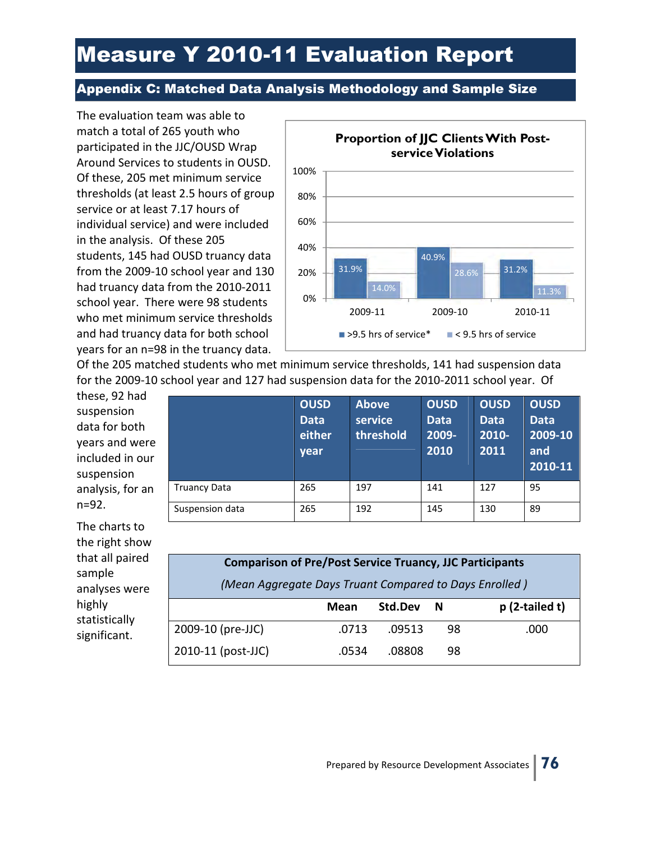#### Appendix C: Matched Data Analysis Methodology and Sample Size

The evaluation team was able to match a total of 265 youth who participated in the JJC/OUSD Wrap Around Services to students in OUSD. Of these, 205 met minimum service thresholds (at least 2.5 hours of group service or at least 7.17 hours of individual service) and were included in the analysis. Of these 205 students, 145 had OUSD truancy data from the 2009-10 school year and 130 had truancy data from the 2010-2011 school year. There were 98 students who met minimum service thresholds and had truancy data for both school years for an n=98 in the truancy data.



Of the 205 matched students who met minimum service thresholds, 141 had suspension data for the 2009-10 school year and 127 had suspension data for the 2010-2011 school year. Of

these, 92 had suspension data for both years and were included in our suspension analysis, for an n=92.

The charts to the right show that all paired sample analyses were highly statistically significant.

|                     | <b>OUSD</b><br><b>Data</b><br>either<br>vear | <b>Above</b><br>service<br>threshold | <b>OUSD</b><br>Data<br>2009-<br>2010 | <b>OUSD</b><br><b>Data</b><br>2010-<br>2011 | <b>OUSD</b><br><b>Data</b><br>2009-10<br>and<br>2010-11 |
|---------------------|----------------------------------------------|--------------------------------------|--------------------------------------|---------------------------------------------|---------------------------------------------------------|
| <b>Truancy Data</b> | 265                                          | 197                                  | 141                                  | 127                                         | 95                                                      |
| Suspension data     | 265                                          | 192                                  | 145                                  | 130                                         | 89                                                      |

#### **Comparison of Pre/Post Service Truancy, JJC Participants**

*(Mean Aggregate Days Truant Compared to Days Enrolled )* 

|                    | Mean  | Std.Dev N |    | $p(2-tailed t)$ |
|--------------------|-------|-----------|----|-----------------|
| 2009-10 (pre-JJC)  | .0713 | .09513    | 98 | .000            |
| 2010-11 (post-JJC) | .0534 | .08808    | 98 |                 |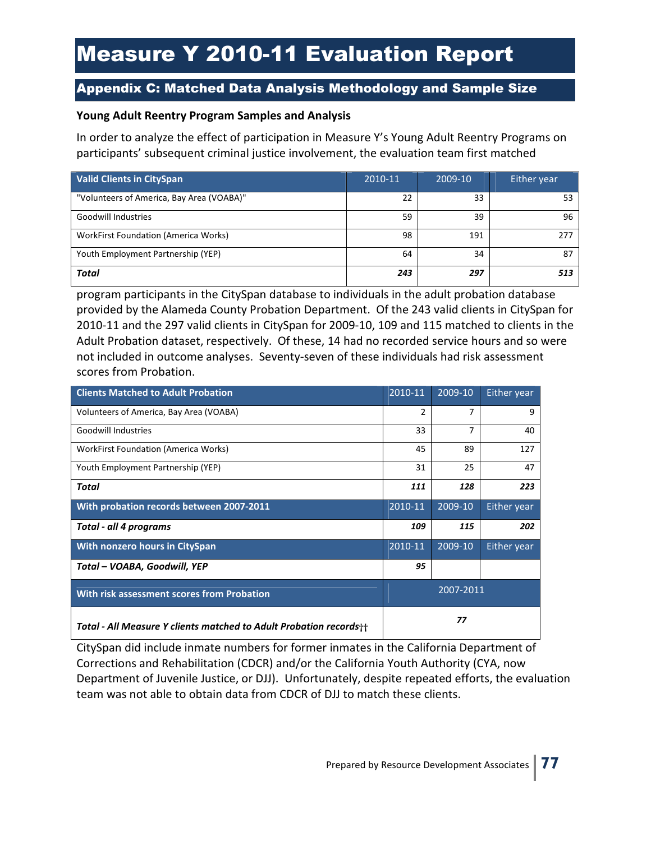#### Appendix C: Matched Data Analysis Methodology and Sample Size

#### **Young Adult Reentry Program Samples and Analysis**

In order to analyze the effect of participation in Measure Y's Young Adult Reentry Programs on participants' subsequent criminal justice involvement, the evaluation team first matched

| Valid Clients in CitySpan                 | 2010-11 | 2009-10 | <b>Either year</b> |
|-------------------------------------------|---------|---------|--------------------|
| "Volunteers of America, Bay Area (VOABA)" | 22      | 33      | 53                 |
| Goodwill Industries                       | 59      | 39      | 96                 |
| WorkFirst Foundation (America Works)      | 98      | 191     | 277                |
| Youth Employment Partnership (YEP)        | 64      | 34      | 87                 |
| <b>Total</b>                              | 243     | 297     | 513                |

program participants in the CitySpan database to individuals in the adult probation database provided by the Alameda County Probation Department. Of the 243 valid clients in CitySpan for 2010-11 and the 297 valid clients in CitySpan for 2009-10, 109 and 115 matched to clients in the Adult Probation dataset, respectively. Of these, 14 had no recorded service hours and so were not included in outcome analyses. Seventy-seven of these individuals had risk assessment scores from Probation.

| <b>Clients Matched to Adult Probation</b>                          | 2010-11   | 2009-10 | Either year        |
|--------------------------------------------------------------------|-----------|---------|--------------------|
| Volunteers of America, Bay Area (VOABA)                            | 2         | 7       | 9                  |
| Goodwill Industries                                                | 33        | 7       | 40                 |
| <b>WorkFirst Foundation (America Works)</b>                        | 45        | 89      | 127                |
| Youth Employment Partnership (YEP)                                 | 31        | 25      | 47                 |
| Total                                                              | 111       | 128     | 223                |
| With probation records between 2007-2011                           | 2010-11   | 2009-10 | Either year        |
| Total - all 4 programs                                             | 109       | 115     | 202                |
| <b>With nonzero hours in CitySpan</b>                              | 2010-11   | 2009-10 | <b>Either year</b> |
| Total - VOABA, Goodwill, YEP                                       | 95        |         |                    |
| With risk assessment scores from Probation                         | 2007-2011 |         |                    |
| Total - All Measure Y clients matched to Adult Probation records++ |           | 77      |                    |

CitySpan did include inmate numbers for former inmates in the California Department of Corrections and Rehabilitation (CDCR) and/or the California Youth Authority (CYA, now Department of Juvenile Justice, or DJJ). Unfortunately, despite repeated efforts, the evaluation team was not able to obtain data from CDCR of DJJ to match these clients.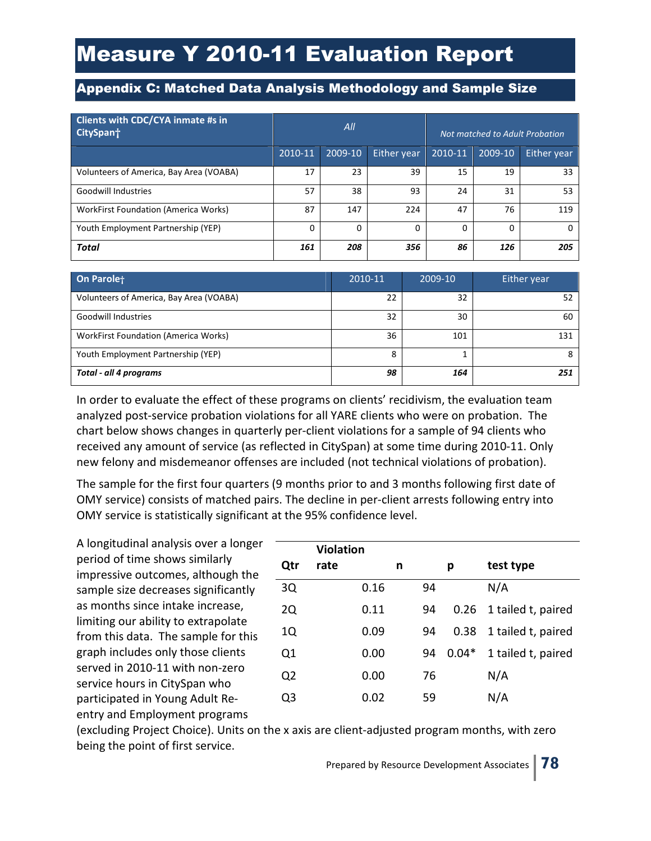#### Appendix C: Matched Data Analysis Methodology and Sample Size

| <b>Clients with CDC/CYA inmate #s in</b><br>CitySpant | All     |          |             | Not matched to Adult Probation |          |             |
|-------------------------------------------------------|---------|----------|-------------|--------------------------------|----------|-------------|
|                                                       | 2010-11 | 2009-10  | Either year | 2010-11                        | 2009-10  | Either year |
| Volunteers of America, Bay Area (VOABA)               | 17      | 23       | 39          | 15                             | 19       | 33          |
| <b>Goodwill Industries</b>                            | 57      | 38       | 93          | 24                             | 31       | 53          |
| <b>WorkFirst Foundation (America Works)</b>           | 87      | 147      | 224         | 47                             | 76       | 119         |
| Youth Employment Partnership (YEP)                    |         | $\Omega$ |             | $\Omega$                       | $\Omega$ |             |
| <b>Total</b>                                          | 161     | 208      | 356         | 86                             | 126      | 205         |

| On Parolet                              | 2010-11 | 2009-10 | Either year |
|-----------------------------------------|---------|---------|-------------|
| Volunteers of America, Bay Area (VOABA) | 22      | 32      | 52          |
| <b>Goodwill Industries</b>              | 32      | 30      | 60          |
| WorkFirst Foundation (America Works)    | 36      | 101     | 131         |
| Youth Employment Partnership (YEP)      | 8       |         |             |
| Total - all 4 programs                  | 98      | 164     | 251         |

In order to evaluate the effect of these programs on clients' recidivism, the evaluation team analyzed post-service probation violations for all YARE clients who were on probation. The chart below shows changes in quarterly per-client violations for a sample of 94 clients who received any amount of service (as reflected in CitySpan) at some time during 2010-11. Only new felony and misdemeanor offenses are included (not technical violations of probation).

The sample for the first four quarters (9 months prior to and 3 months following first date of OMY service) consists of matched pairs. The decline in per-client arrests following entry into OMY service is statistically significant at the 95% confidence level.

A longitudinal analysis over a longer period of time shows similarly impressive outcomes, although the sample size decreases significantly as months since intake increase, limiting our ability to extrapolate from this data. The sample for this graph includes only those clients served in 2010-11 with non-zero service hours in CitySpan who participated in Young Adult Reentry and Employment programs

|                | <b>Violation</b> |    |         |                    |
|----------------|------------------|----|---------|--------------------|
| Qtr            | rate             | n  | р       | test type          |
| 3Q             | 0.16             | 94 |         | N/A                |
| 2Q             | 0.11             | 94 | 0.26    | 1 tailed t, paired |
| 1Q             | 0.09             | 94 | 0.38    | 1 tailed t, paired |
| Q1             | 0.00             | 94 | $0.04*$ | 1 tailed t, paired |
| Q <sub>2</sub> | 0.00             | 76 |         | N/A                |
| Q3             | 0.02             | 59 |         | N/A                |
|                |                  |    |         |                    |

(excluding Project Choice). Units on the x axis are client-adjusted program months, with zero being the point of first service.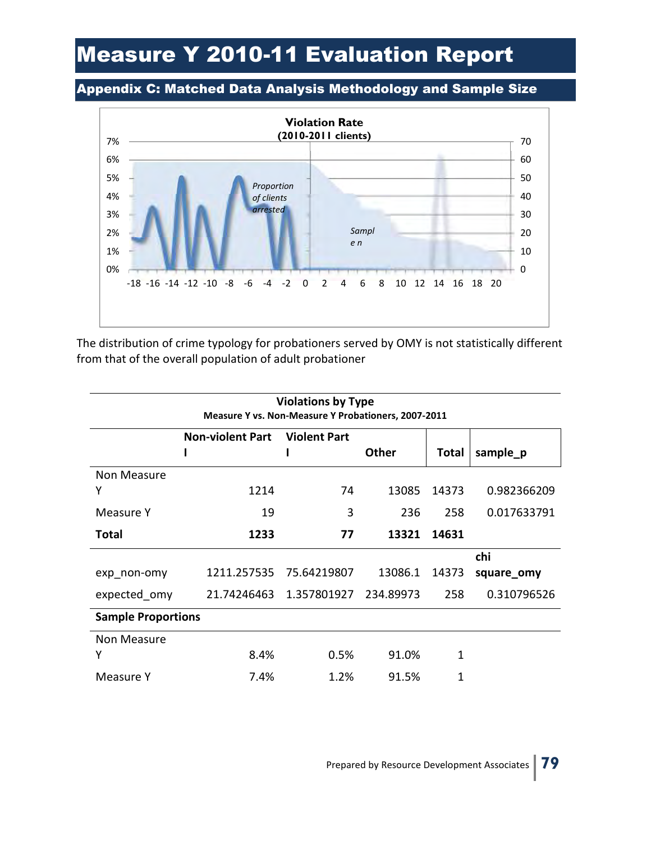#### Appendix C: Matched Data Analysis Methodology and Sample Size



The distribution of crime typology for probationers served by OMY is not statistically different from that of the overall population of adult probationer

| <b>Violations by Type</b><br>Measure Y vs. Non-Measure Y Probationers, 2007-2011 |                         |                       |              |              |             |  |  |  |  |
|----------------------------------------------------------------------------------|-------------------------|-----------------------|--------------|--------------|-------------|--|--|--|--|
|                                                                                  | <b>Non-violent Part</b> | <b>Violent Part</b>   |              |              |             |  |  |  |  |
|                                                                                  |                         |                       | <b>Other</b> | <b>Total</b> | sample_p    |  |  |  |  |
| Non Measure                                                                      |                         |                       |              |              |             |  |  |  |  |
| Υ                                                                                | 1214                    | 74                    | 13085        | 14373        | 0.982366209 |  |  |  |  |
| Measure Y                                                                        | 19                      | 3                     | 236          | 258          | 0.017633791 |  |  |  |  |
| Total                                                                            | 1233                    | 77                    | 13321        | 14631        |             |  |  |  |  |
|                                                                                  |                         |                       |              |              | chi         |  |  |  |  |
| exp non-omy                                                                      | 1211.257535             | 75.64219807           | 13086.1      | 14373        | square_omy  |  |  |  |  |
| expected omy                                                                     | 21.74246463             | 1.357801927 234.89973 |              | 258          | 0.310796526 |  |  |  |  |
| <b>Sample Proportions</b>                                                        |                         |                       |              |              |             |  |  |  |  |
| Non Measure                                                                      |                         |                       |              |              |             |  |  |  |  |
| Y                                                                                | 8.4%                    | 0.5%                  | 91.0%        | 1            |             |  |  |  |  |
| Measure Y                                                                        | 7.4%                    | 1.2%                  | 91.5%        | 1            |             |  |  |  |  |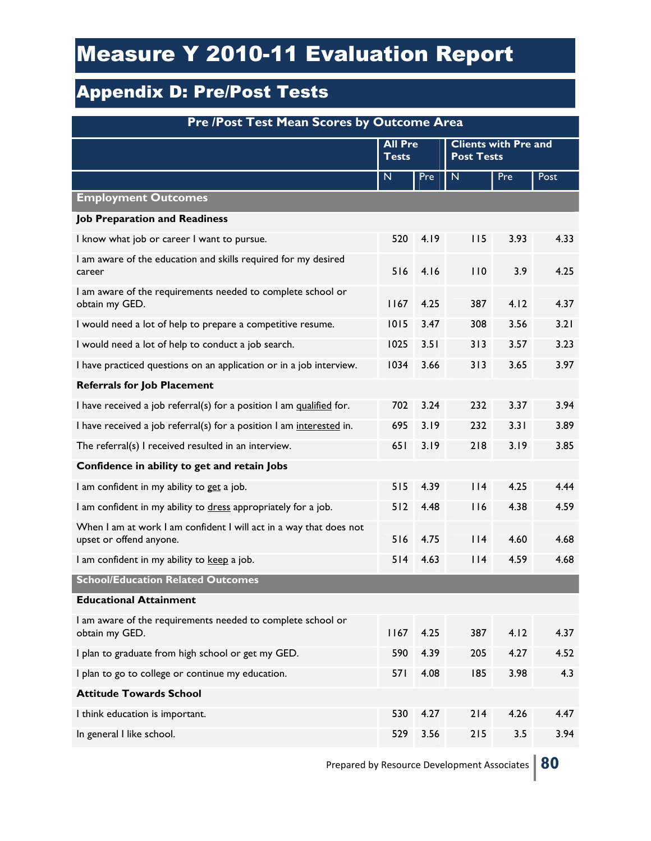### Appendix D: Pre/Post Tests

| Pre /Post Test Mean Scores by Outcome Area                                                    |                                |      |                   |                             |      |  |
|-----------------------------------------------------------------------------------------------|--------------------------------|------|-------------------|-----------------------------|------|--|
|                                                                                               | <b>All Pre</b><br><b>Tests</b> |      | <b>Post Tests</b> | <b>Clients with Pre and</b> |      |  |
|                                                                                               | N                              | Pre  | $\mathsf{N}$      | Pre                         | Post |  |
| <b>Employment Outcomes</b>                                                                    |                                |      |                   |                             |      |  |
| <b>Job Preparation and Readiness</b>                                                          |                                |      |                   |                             |      |  |
| I know what job or career I want to pursue.                                                   | 520                            | 4.19 | 115               | 3.93                        | 4.33 |  |
| I am aware of the education and skills required for my desired<br>career                      | 516                            | 4.16 | 110               | 3.9                         | 4.25 |  |
| I am aware of the requirements needed to complete school or<br>obtain my GED.                 | 1167                           | 4.25 | 387               | 4.12                        | 4.37 |  |
| I would need a lot of help to prepare a competitive resume.                                   | 1015                           | 3.47 | 308               | 3.56                        | 3.21 |  |
| I would need a lot of help to conduct a job search.                                           | 1025                           | 3.51 | 313               | 3.57                        | 3.23 |  |
| I have practiced questions on an application or in a job interview.                           | 1034                           | 3.66 | 313               | 3.65                        | 3.97 |  |
| <b>Referrals for Job Placement</b>                                                            |                                |      |                   |                             |      |  |
| I have received a job referral(s) for a position I am qualified for.                          | 702                            | 3.24 | 232               | 3.37                        | 3.94 |  |
| I have received a job referral(s) for a position I am interested in.                          | 695                            | 3.19 | 232               | 3.31                        | 3.89 |  |
| The referral(s) I received resulted in an interview.                                          | 651                            | 3.19 | 218               | 3.19                        | 3.85 |  |
| Confidence in ability to get and retain Jobs                                                  |                                |      |                   |                             |      |  |
| I am confident in my ability to get a job.                                                    | 515                            | 4.39 | $ $   4           | 4.25                        | 4.44 |  |
| I am confident in my ability to dress appropriately for a job.                                | 512                            | 4.48 | 116               | 4.38                        | 4.59 |  |
| When I am at work I am confident I will act in a way that does not<br>upset or offend anyone. | 516                            | 4.75 | $ $  4            | 4.60                        | 4.68 |  |
| I am confident in my ability to keep a job.                                                   | 514                            | 4.63 | $ $  4            | 4.59                        | 4.68 |  |
| <b>School/Education Related Outcomes</b>                                                      |                                |      |                   |                             |      |  |
| <b>Educational Attainment</b>                                                                 |                                |      |                   |                             |      |  |
| I am aware of the requirements needed to complete school or<br>obtain my GED.                 | 1167                           | 4.25 | 387               | 4.12                        | 4.37 |  |
| I plan to graduate from high school or get my GED.                                            | 590                            | 4.39 | 205               | 4.27                        | 4.52 |  |
| I plan to go to college or continue my education.                                             | 57 I                           | 4.08 | 185               | 3.98                        | 4.3  |  |
| <b>Attitude Towards School</b>                                                                |                                |      |                   |                             |      |  |
| I think education is important.                                                               | 530                            | 4.27 | 214               | 4.26                        | 4.47 |  |
| In general I like school.                                                                     | 529                            | 3.56 | 215               | 3.5                         | 3.94 |  |

Prepared by Resource Development Associates **80**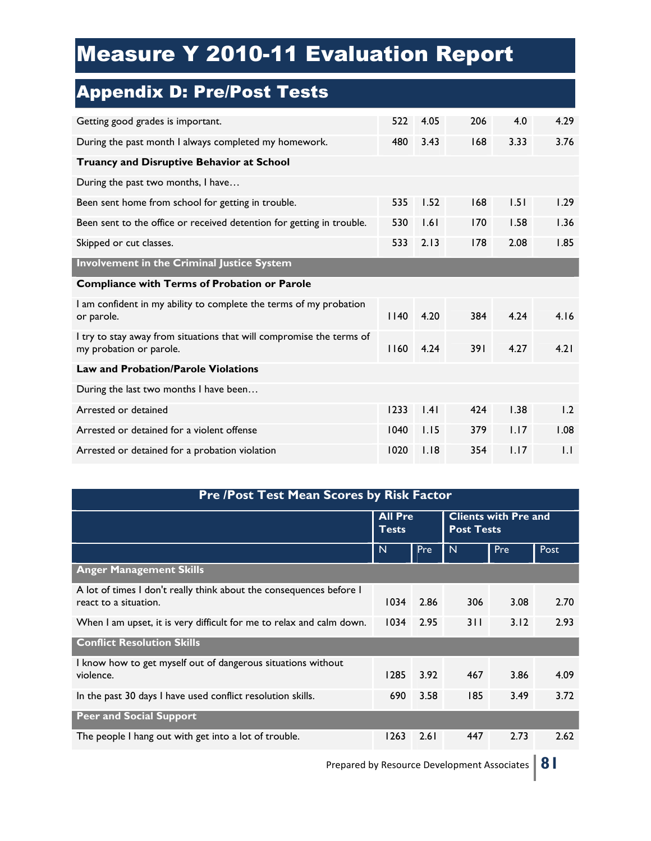## Appendix D: Pre/Post Tests

| Getting good grades is important.                                                               | 522  | 4.05 | 206  | 4.0  | 4.29 |
|-------------------------------------------------------------------------------------------------|------|------|------|------|------|
| During the past month I always completed my homework.                                           | 480  | 3.43 | 168  | 3.33 | 3.76 |
| Truancy and Disruptive Behavior at School                                                       |      |      |      |      |      |
| During the past two months, I have                                                              |      |      |      |      |      |
| Been sent home from school for getting in trouble.                                              | 535  | 1.52 | 168  | 1.51 | 1.29 |
| Been sent to the office or received detention for getting in trouble.                           | 530  | 1.61 | 170  | 1.58 | 1.36 |
| Skipped or cut classes.                                                                         | 533  | 2.13 | 178  | 2.08 | 1.85 |
| Involvement in the Criminal Justice System                                                      |      |      |      |      |      |
| <b>Compliance with Terms of Probation or Parole</b>                                             |      |      |      |      |      |
| I am confident in my ability to complete the terms of my probation<br>or parole.                | 1140 | 4.20 | 384  | 4.24 | 4.16 |
| I try to stay away from situations that will compromise the terms of<br>my probation or parole. | 1160 | 4.24 | 39 I | 4.27 | 4.21 |
| <b>Law and Probation/Parole Violations</b>                                                      |      |      |      |      |      |
| During the last two months I have been                                                          |      |      |      |      |      |
| Arrested or detained                                                                            | 1233 | .4   | 424  | 1.38 | 1.2  |
| Arrested or detained for a violent offense                                                      | 1040 | 1.15 | 379  | 1.17 | 1.08 |
| Arrested or detained for a probation violation                                                  | 1020 | 1.18 | 354  | 1.17 | 1.1  |

| <b>Pre /Post Test Mean Scores by Risk Factor</b>                                             |                                |      |                   |                             |      |  |  |
|----------------------------------------------------------------------------------------------|--------------------------------|------|-------------------|-----------------------------|------|--|--|
|                                                                                              | <b>All Pre</b><br><b>Tests</b> |      | <b>Post Tests</b> | <b>Clients with Pre and</b> |      |  |  |
|                                                                                              | N                              | Pre  | N                 | Pre                         | Post |  |  |
| <b>Anger Management Skills</b>                                                               |                                |      |                   |                             |      |  |  |
| A lot of times I don't really think about the consequences before I<br>react to a situation. | 1034                           | 2.86 | 306               | 3.08                        | 2.70 |  |  |
| When I am upset, it is very difficult for me to relax and calm down.                         | 1034                           | 2.95 | 311               | 3.12                        | 2.93 |  |  |
| <b>Conflict Resolution Skills</b>                                                            |                                |      |                   |                             |      |  |  |
| I know how to get myself out of dangerous situations without<br>violence.                    | 1285                           | 3.92 | 467               | 3.86                        | 4.09 |  |  |
| In the past 30 days I have used conflict resolution skills.                                  | 690                            | 3.58 | 185               | 3.49                        | 3.72 |  |  |
| <b>Peer and Social Support</b>                                                               |                                |      |                   |                             |      |  |  |
| The people I hang out with get into a lot of trouble.                                        | 1263                           | 2.61 | 447               | 2.73                        | 2.62 |  |  |

Prepared by Resource Development Associates **81**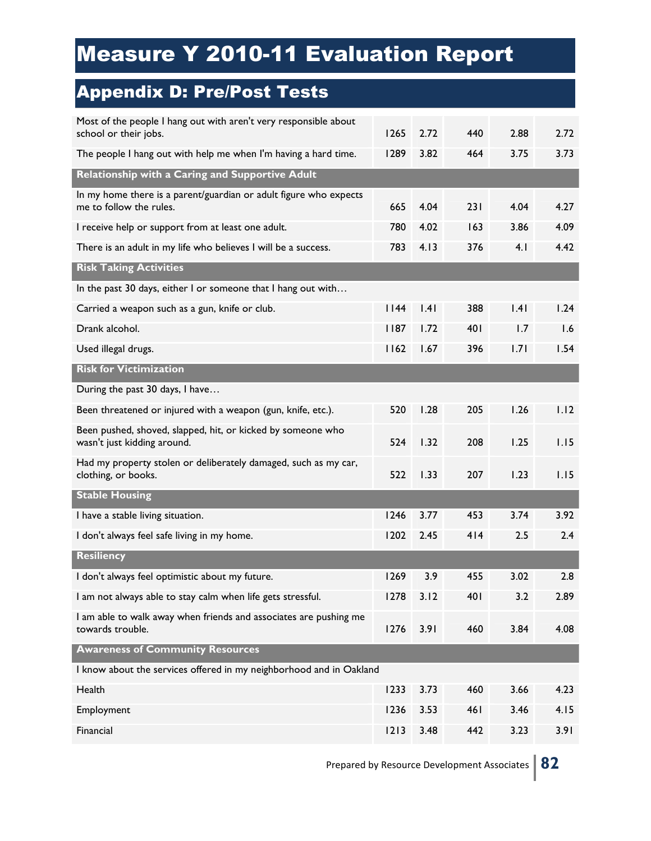| Most of the people I hang out with aren't very responsible about<br>school or their jobs.    | 1265   | 2.72 | 440 | 2.88 | 2.72 |
|----------------------------------------------------------------------------------------------|--------|------|-----|------|------|
| The people I hang out with help me when I'm having a hard time.                              | 1289   | 3.82 | 464 | 3.75 | 3.73 |
| Relationship with a Caring and Supportive Adult                                              |        |      |     |      |      |
| In my home there is a parent/guardian or adult figure who expects<br>me to follow the rules. | 665    | 4.04 | 231 | 4.04 | 4.27 |
| I receive help or support from at least one adult.                                           | 780    | 4.02 | 163 | 3.86 | 4.09 |
| There is an adult in my life who believes I will be a success.                               | 783    | 4.13 | 376 | 4.1  | 4.42 |
| <b>Risk Taking Activities</b>                                                                |        |      |     |      |      |
| In the past 30 days, either I or someone that I hang out with                                |        |      |     |      |      |
| Carried a weapon such as a gun, knife or club.                                               | 1144   | 1.41 | 388 | .4   | 1.24 |
| Drank alcohol.                                                                               | 1187   | 1.72 | 401 | 1.7  | 1.6  |
| Used illegal drugs.                                                                          | 1162   | 1.67 | 396 | 1.71 | 1.54 |
| <b>Risk for Victimization</b>                                                                |        |      |     |      |      |
| During the past 30 days, I have                                                              |        |      |     |      |      |
| Been threatened or injured with a weapon (gun, knife, etc.).                                 | 520    | 1.28 | 205 | 1.26 | 1.12 |
| Been pushed, shoved, slapped, hit, or kicked by someone who<br>wasn't just kidding around.   | 524    | 1.32 | 208 | 1.25 | 1.15 |
| Had my property stolen or deliberately damaged, such as my car,<br>clothing, or books.       | 522    | 1.33 | 207 | 1.23 | 1.15 |
| <b>Stable Housing</b>                                                                        |        |      |     |      |      |
| I have a stable living situation.                                                            | 1246   | 3.77 | 453 | 3.74 | 3.92 |
| I don't always feel safe living in my home.                                                  | 1202   | 2.45 | 414 | 2.5  | 2.4  |
| <b>Resiliency</b>                                                                            |        |      |     |      |      |
| I don't always feel optimistic about my future.                                              | 1269   | 3.9  | 455 | 3.02 | 2.8  |
| I am not always able to stay calm when life gets stressful.                                  | 1278   | 3.12 | 401 | 3.2  | 2.89 |
| I am able to walk away when friends and associates are pushing me<br>towards trouble.        | 1276   | 3.91 | 460 | 3.84 | 4.08 |
| <b>Awareness of Community Resources</b>                                                      |        |      |     |      |      |
| I know about the services offered in my neighborhood and in Oakland                          |        |      |     |      |      |
| Health                                                                                       | 1233   | 3.73 | 460 | 3.66 | 4.23 |
| Employment                                                                                   | 1236   | 3.53 | 461 | 3.46 | 4.15 |
| Financial                                                                                    | $1213$ | 3.48 | 442 | 3.23 | 3.91 |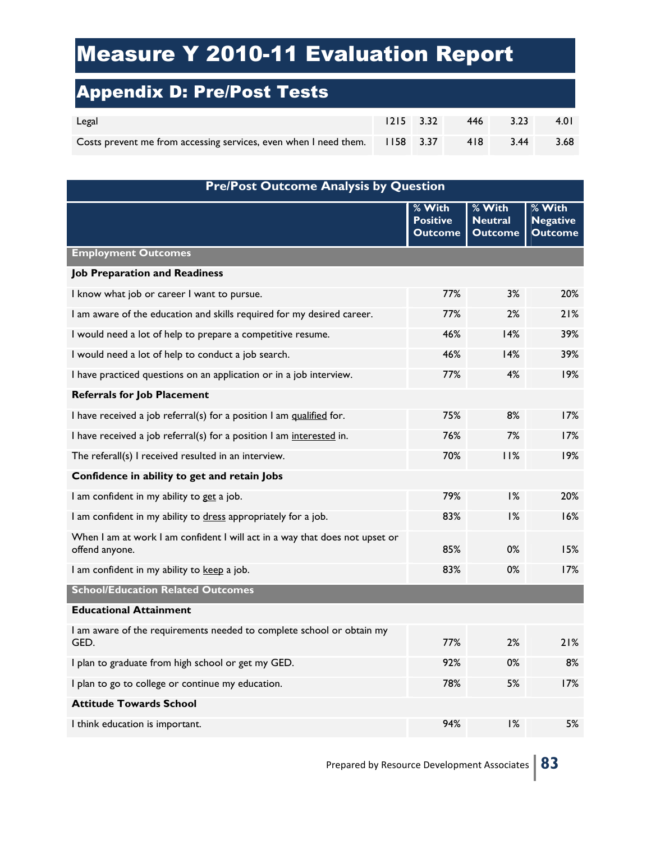| Legal                                                                      | $1215$ 3.32 | 446 | 3.23 | 4.0 I |
|----------------------------------------------------------------------------|-------------|-----|------|-------|
| Costs prevent me from accessing services, even when I need them. II58 3.37 |             | 418 | 3.44 | 3.68  |

| <b>Pre/Post Outcome Analysis by Question</b>                                                  |                                             |                                            |                                             |  |  |  |  |
|-----------------------------------------------------------------------------------------------|---------------------------------------------|--------------------------------------------|---------------------------------------------|--|--|--|--|
|                                                                                               | % With<br><b>Positive</b><br><b>Outcome</b> | % With<br><b>Neutral</b><br><b>Outcome</b> | % With<br><b>Negative</b><br><b>Outcome</b> |  |  |  |  |
| <b>Employment Outcomes</b>                                                                    |                                             |                                            |                                             |  |  |  |  |
| <b>Job Preparation and Readiness</b>                                                          |                                             |                                            |                                             |  |  |  |  |
| I know what job or career I want to pursue.                                                   | 77%                                         | 3%                                         | 20%                                         |  |  |  |  |
| I am aware of the education and skills required for my desired career.                        | 77%                                         | 2%                                         | 21%                                         |  |  |  |  |
| I would need a lot of help to prepare a competitive resume.                                   | 46%                                         | 14%                                        | 39%                                         |  |  |  |  |
| I would need a lot of help to conduct a job search.                                           | 46%                                         | 14%                                        | 39%                                         |  |  |  |  |
| I have practiced questions on an application or in a job interview.                           | 77%                                         | 4%                                         | 19%                                         |  |  |  |  |
| <b>Referrals for Job Placement</b>                                                            |                                             |                                            |                                             |  |  |  |  |
| I have received a job referral(s) for a position I am qualified for.                          | 75%                                         | 8%                                         | 17%                                         |  |  |  |  |
| I have received a job referral(s) for a position I am interested in.                          | 76%                                         | 7%                                         | 17%                                         |  |  |  |  |
| The referall(s) I received resulted in an interview.                                          | 70%                                         | 11%                                        | 19%                                         |  |  |  |  |
| Confidence in ability to get and retain Jobs                                                  |                                             |                                            |                                             |  |  |  |  |
| I am confident in my ability to get a job.                                                    | 79%                                         | 1%                                         | 20%                                         |  |  |  |  |
| I am confident in my ability to dress appropriately for a job.                                | 83%                                         | 1%                                         | 16%                                         |  |  |  |  |
| When I am at work I am confident I will act in a way that does not upset or<br>offend anyone. | 85%                                         | $0\%$                                      | 15%                                         |  |  |  |  |
| I am confident in my ability to keep a job.                                                   | 83%                                         | 0%                                         | 17%                                         |  |  |  |  |
| <b>School/Education Related Outcomes</b>                                                      |                                             |                                            |                                             |  |  |  |  |
| <b>Educational Attainment</b>                                                                 |                                             |                                            |                                             |  |  |  |  |
| I am aware of the requirements needed to complete school or obtain my<br>GED.                 | 77%                                         | 2%                                         | 21%                                         |  |  |  |  |
| I plan to graduate from high school or get my GED.                                            | 92%                                         | $0\%$                                      | 8%                                          |  |  |  |  |
| I plan to go to college or continue my education.                                             | 78%                                         | 5%                                         | 17%                                         |  |  |  |  |
| <b>Attitude Towards School</b>                                                                |                                             |                                            |                                             |  |  |  |  |
| I think education is important.                                                               | 94%                                         | 1%                                         | 5%                                          |  |  |  |  |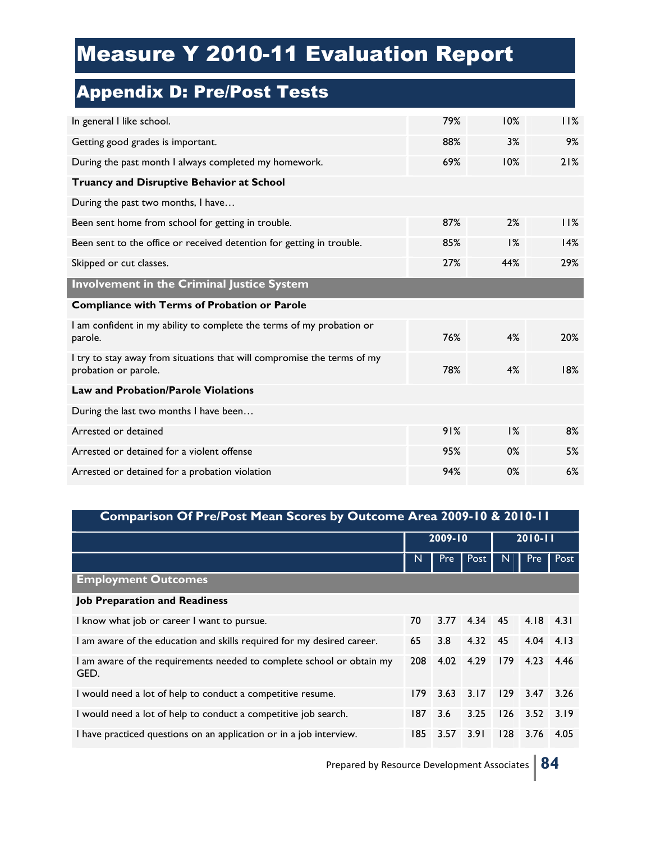| In general I like school.                                                                       | 79% | $10\%$ | 11% |
|-------------------------------------------------------------------------------------------------|-----|--------|-----|
| Getting good grades is important.                                                               | 88% | 3%     | 9%  |
| During the past month I always completed my homework.                                           | 69% | $10\%$ | 21% |
| Truancy and Disruptive Behavior at School                                                       |     |        |     |
| During the past two months, I have                                                              |     |        |     |
| Been sent home from school for getting in trouble.                                              | 87% | 2%     | 11% |
| Been sent to the office or received detention for getting in trouble.                           | 85% | 1%     | 14% |
| Skipped or cut classes.                                                                         | 27% | 44%    | 29% |
| <b>Involvement in the Criminal Justice System</b>                                               |     |        |     |
|                                                                                                 |     |        |     |
| <b>Compliance with Terms of Probation or Parole</b>                                             |     |        |     |
| I am confident in my ability to complete the terms of my probation or<br>parole.                | 76% | 4%     | 20% |
| I try to stay away from situations that will compromise the terms of my<br>probation or parole. | 78% | 4%     | 18% |
| <b>Law and Probation/Parole Violations</b>                                                      |     |        |     |
| During the last two months I have been                                                          |     |        |     |
| Arrested or detained                                                                            | 91% | 1%     | 8%  |
| Arrested or detained for a violent offense                                                      | 95% | $0\%$  | 5%  |

| Comparison Of Pre/Post Mean Scores by Outcome Area 2009-10 & 2010-11          |         |      |      |             |               |      |  |
|-------------------------------------------------------------------------------|---------|------|------|-------------|---------------|------|--|
|                                                                               | 2009-10 |      |      | $2010 - 11$ |               |      |  |
|                                                                               | N       | Pre  | Post | N           | Pre           | Post |  |
| <b>Employment Outcomes</b>                                                    |         |      |      |             |               |      |  |
| <b>Job Preparation and Readiness</b>                                          |         |      |      |             |               |      |  |
| I know what job or career I want to pursue.                                   | 70      | 3.77 | 4.34 | - 45        | 4.18 4.31     |      |  |
| I am aware of the education and skills required for my desired career.        | 65      | 3.8  | 4.32 | 45          | $4.04$ $4.13$ |      |  |
| I am aware of the requirements needed to complete school or obtain my<br>GED. | 208     | 4.02 | 4.29 | 179         | 4.23          | 4.46 |  |
| I would need a lot of help to conduct a competitive resume.                   | 179     | 3.63 | 3.17 | 129         | 3.47          | 3.26 |  |
| I would need a lot of help to conduct a competitive job search.               | 187     | 3.6  | 3.25 | 126         | 3.52          | 3.19 |  |
| I have practiced questions on an application or in a job interview.           | 185     | 3.57 | 3.91 | 128         | 3.76          | 4.05 |  |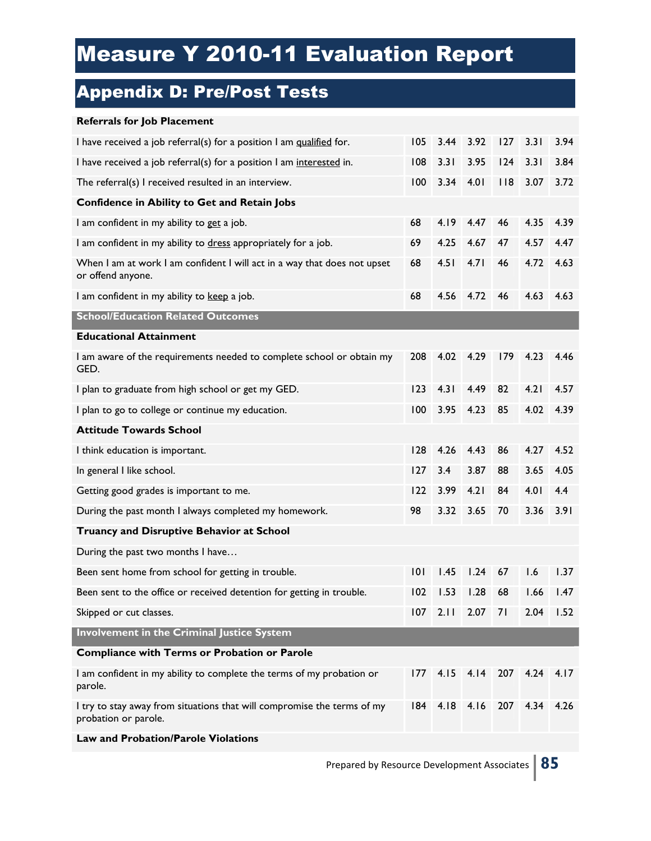| <b>Referrals for Job Placement</b>                                                              |      |      |                             |        |      |      |
|-------------------------------------------------------------------------------------------------|------|------|-----------------------------|--------|------|------|
| I have received a job referral(s) for a position I am qualified for.                            | 105  | 3.44 | 3.92                        | 127    | 3.31 | 3.94 |
| I have received a job referral(s) for a position I am interested in.                            | 108  | 3.31 | 3.95                        | 124    | 3.31 | 3.84 |
| The referral(s) I received resulted in an interview.                                            | 100  | 3.34 | 4.01                        | $ $  8 | 3.07 | 3.72 |
| <b>Confidence in Ability to Get and Retain Jobs</b>                                             |      |      |                             |        |      |      |
| I am confident in my ability to get a job.                                                      | 68   | 4.19 | 4.47                        | 46     | 4.35 | 4.39 |
| I am confident in my ability to dress appropriately for a job.                                  | 69   | 4.25 | 4.67                        | 47     | 4.57 | 4.47 |
| When I am at work I am confident I will act in a way that does not upset<br>or offend anyone.   | 68   | 4.51 | 4.71                        | 46     | 4.72 | 4.63 |
| I am confident in my ability to keep a job.                                                     | 68   | 4.56 | 4.72                        | 46     | 4.63 | 4.63 |
| <b>School/Education Related Outcomes</b>                                                        |      |      |                             |        |      |      |
| <b>Educational Attainment</b>                                                                   |      |      |                             |        |      |      |
| I am aware of the requirements needed to complete school or obtain my<br>GED.                   | 208  | 4.02 | 4.29                        | 179    | 4.23 | 4.46 |
| I plan to graduate from high school or get my GED.                                              | 123  | 4.31 | 4.49                        | 82     | 4.21 | 4.57 |
| I plan to go to college or continue my education.                                               | 100  | 3.95 | 4.23                        | 85     | 4.02 | 4.39 |
| <b>Attitude Towards School</b>                                                                  |      |      |                             |        |      |      |
| I think education is important.                                                                 | 128  | 4.26 | 4.43                        | 86     | 4.27 | 4.52 |
| In general I like school.                                                                       | 127  | 3.4  | 3.87                        | 88     | 3.65 | 4.05 |
| Getting good grades is important to me.                                                         | 122  | 3.99 | 4.21                        | 84     | 4.01 | 4.4  |
| During the past month I always completed my homework.                                           | 98   | 3.32 | 3.65                        | 70     | 3.36 | 3.91 |
| Truancy and Disruptive Behavior at School                                                       |      |      |                             |        |      |      |
| During the past two months I have                                                               |      |      |                             |        |      |      |
| Been sent home from school for getting in trouble.                                              | 0    | 1.45 | 1.24                        | 67     | 1.6  | 1.37 |
| Been sent to the office or received detention for getting in trouble.                           | 102  | 1.53 | 1.28                        | 68     | 1.66 | 1.47 |
| Skipped or cut classes.                                                                         | 107  | 2.11 | 2.07                        | 71     | 2.04 | 1.52 |
| Involvement in the Criminal Justice System                                                      |      |      |                             |        |      |      |
| <b>Compliance with Terms or Probation or Parole</b>                                             |      |      |                             |        |      |      |
| I am confident in my ability to complete the terms of my probation or<br>parole.                | 177. |      | 4.15 4.14 207 4.24 4.17     |        |      |      |
| I try to stay away from situations that will compromise the terms of my<br>probation or parole. |      |      | 184 4.18 4.16 207 4.34 4.26 |        |      |      |
| Law and Probation/Parole Violations                                                             |      |      |                             |        |      |      |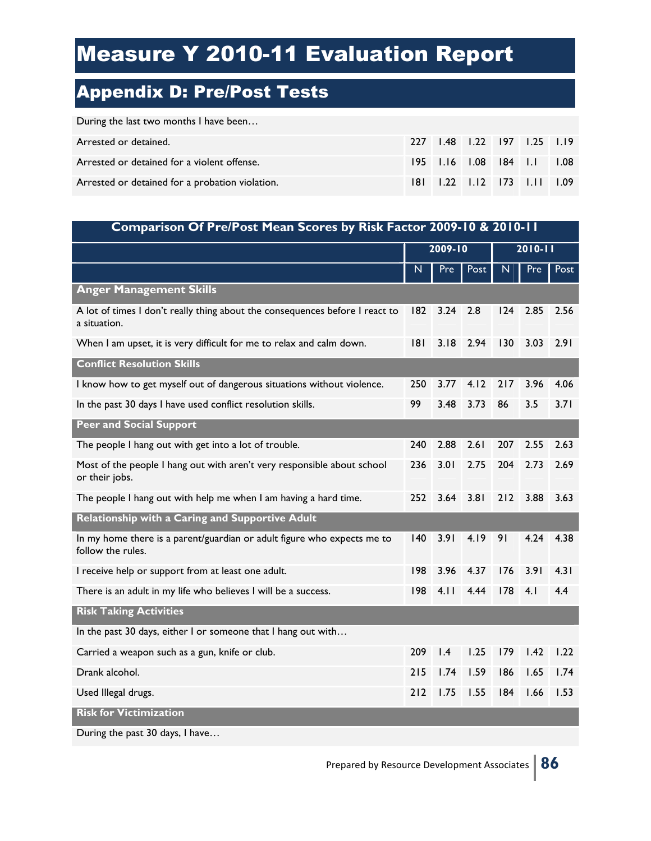### Appendix D: Pre/Post Tests

| During the last two months I have been          |  |                             |  |  |
|-------------------------------------------------|--|-----------------------------|--|--|
| Arrested or detained.                           |  | 227 1.48 1.22 197 1.25 1.19 |  |  |
| Arrested or detained for a violent offense.     |  | 195 1.16 1.08 184 1.1 1.08  |  |  |
| Arrested or detained for a probation violation. |  | 181 1.22 1.12 173 1.11 1.09 |  |  |

| Comparison Of Pre/Post Mean Scores by Risk Factor 2009-10 & 2010-11                          |             |                 |      |             |      |      |
|----------------------------------------------------------------------------------------------|-------------|-----------------|------|-------------|------|------|
|                                                                                              | $2009 - 10$ |                 |      | $2010 - 11$ |      |      |
|                                                                                              | N           | Pre             | Post | N           | Pre  | Post |
| <b>Anger Management Skills</b>                                                               |             |                 |      |             |      |      |
| A lot of times I don't really thing about the consequences before I react to<br>a situation. | 182         | 3.24            | 2.8  | 124         | 2.85 | 2.56 |
| When I am upset, it is very difficult for me to relax and calm down.                         | 181         | 3.18            | 2.94 | 130         | 3.03 | 2.91 |
| <b>Conflict Resolution Skills</b>                                                            |             |                 |      |             |      |      |
| I know how to get myself out of dangerous situations without violence.                       | 250         | 3.77            | 4.12 | 217         | 3.96 | 4.06 |
| In the past 30 days I have used conflict resolution skills.                                  | 99          | 3.48            | 3.73 | 86          | 3.5  | 3.71 |
| <b>Peer and Social Support</b>                                                               |             |                 |      |             |      |      |
| The people I hang out with get into a lot of trouble.                                        | 240         | 2.88            | 2.61 | 207         | 2.55 | 2.63 |
| Most of the people I hang out with aren't very responsible about school<br>or their jobs.    | 236         | 3.01            | 2.75 | 204         | 2.73 | 2.69 |
| The people I hang out with help me when I am having a hard time.                             | 252         | 3.64            | 3.81 | 212         | 3.88 | 3.63 |
| Relationship with a Caring and Supportive Adult                                              |             |                 |      |             |      |      |
| In my home there is a parent/guardian or adult figure who expects me to<br>follow the rules. | 140         | 3.91            | 4.19 | 91          | 4.24 | 4.38 |
| I receive help or support from at least one adult.                                           | 198         | 3.96            | 4.37 | 176         | 3.91 | 4.31 |
| There is an adult in my life who believes I will be a success.                               | 198         | 4.11            | 4.44 | 178         | 4.1  | 4.4  |
| <b>Risk Taking Activities</b>                                                                |             |                 |      |             |      |      |
| In the past 30 days, either I or someone that I hang out with                                |             |                 |      |             |      |      |
| Carried a weapon such as a gun, knife or club.                                               | 209         | $\mathsf{I}$ .4 | 1.25 | 179         | 1.42 | 1.22 |
| Drank alcohol.                                                                               | 215         | 1.74            | 1.59 | 186         | 1.65 | 1.74 |
| Used Illegal drugs.                                                                          | 212         | 1.75            | 1.55 | 184         | 1.66 | 1.53 |
| <b>Risk for Victimization</b>                                                                |             |                 |      |             |      |      |

During the past 30 days, I have…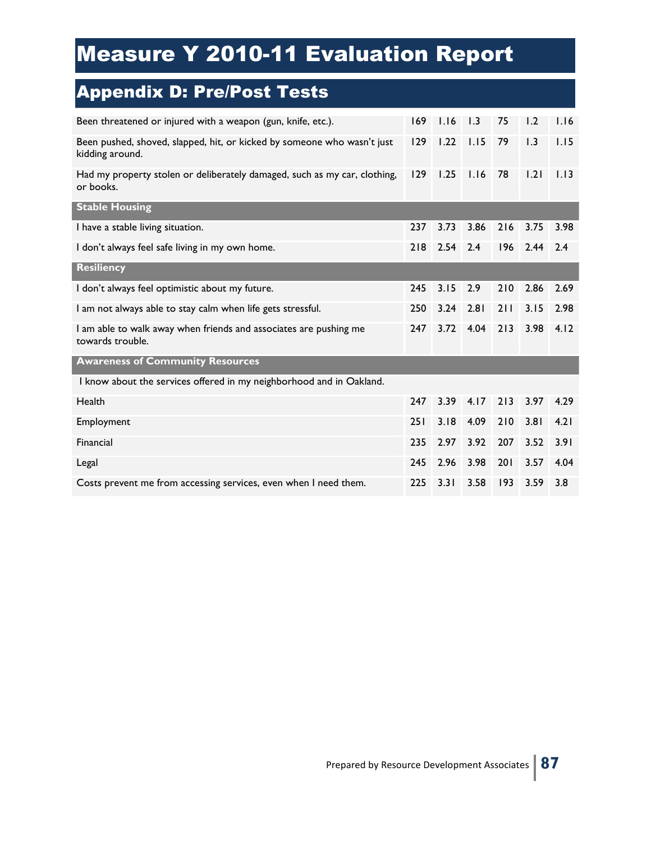| Been threatened or injured with a weapon (gun, knife, etc.).                               | 169 | 1.16 | 1.3  | 75  | 1.2  | 1.16 |
|--------------------------------------------------------------------------------------------|-----|------|------|-----|------|------|
| Been pushed, shoved, slapped, hit, or kicked by someone who wasn't just<br>kidding around. | 129 | 1.22 | 1.15 | 79  | 1.3  | 1.15 |
| Had my property stolen or deliberately damaged, such as my car, clothing,<br>or books.     | 129 | 1.25 | 1.16 | 78  | 1.21 | 1.13 |
| <b>Stable Housing</b>                                                                      |     |      |      |     |      |      |
| I have a stable living situation.                                                          | 237 | 3.73 | 3.86 | 216 | 3.75 | 3.98 |
| I don't always feel safe living in my own home.                                            | 218 | 2.54 | 2.4  | 196 | 2.44 | 2.4  |
| <b>Resiliency</b>                                                                          |     |      |      |     |      |      |
| I don't always feel optimistic about my future.                                            | 245 | 3.15 | 2.9  | 210 | 2.86 | 2.69 |
| I am not always able to stay calm when life gets stressful.                                | 250 | 3.24 | 2.81 | 211 | 3.15 | 2.98 |
| I am able to walk away when friends and associates are pushing me<br>towards trouble.      | 247 | 3.72 | 4.04 | 213 | 3.98 | 4.12 |
| <b>Awareness of Community Resources</b>                                                    |     |      |      |     |      |      |
| I know about the services offered in my neighborhood and in Oakland.                       |     |      |      |     |      |      |
| Health                                                                                     | 247 | 3.39 | 4.17 | 213 | 3.97 | 4.29 |
| Employment                                                                                 | 251 | 3.18 | 4.09 | 210 | 3.81 | 4.21 |
| Financial                                                                                  | 235 | 2.97 | 3.92 | 207 | 3.52 | 3.91 |
| Legal                                                                                      | 245 | 2.96 | 3.98 | 201 | 3.57 | 4.04 |
| Costs prevent me from accessing services, even when I need them.                           | 225 | 3.31 | 3.58 | 193 | 3.59 | 3.8  |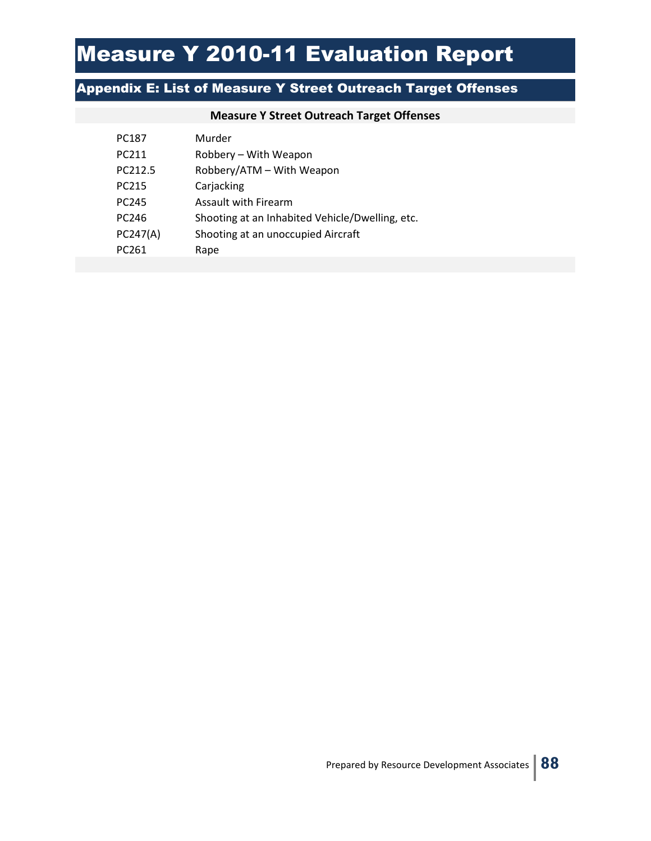#### Appendix E: List of Measure Y Street Outreach Target Offenses

| <b>Measure Y Street Outreach Target Offenses</b> |
|--------------------------------------------------|
| Murder                                           |
| Robbery - With Weapon                            |
| Robbery/ATM - With Weapon                        |
| Carjacking                                       |
| Assault with Firearm                             |
| Shooting at an Inhabited Vehicle/Dwelling, etc.  |
| Shooting at an unoccupied Aircraft               |
| Rape                                             |
|                                                  |